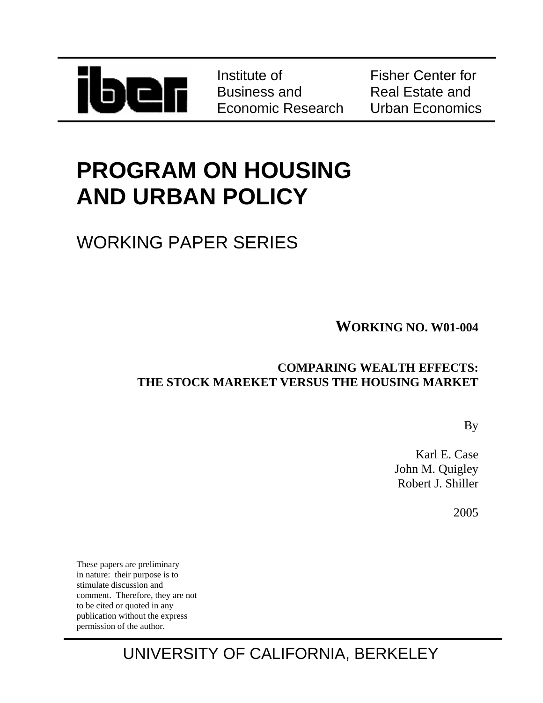

Institute of Business and Economic Research Fisher Center for Real Estate and Urban Economics

# **PROGRAM ON HOUSING AND URBAN POLICY**

## WORKING PAPER SERIES

**WORKING NO. W01-004**

### **COMPARING WEALTH EFFECTS: THE STOCK MAREKET VERSUS THE HOUSING MARKET**

By

Karl E. Case John M. Quigley Robert J. Shiller

2005

These papers are preliminary in nature: their purpose is to stimulate discussion and comment. Therefore, they are not to be cited or quoted in any publication without the express permission of the author.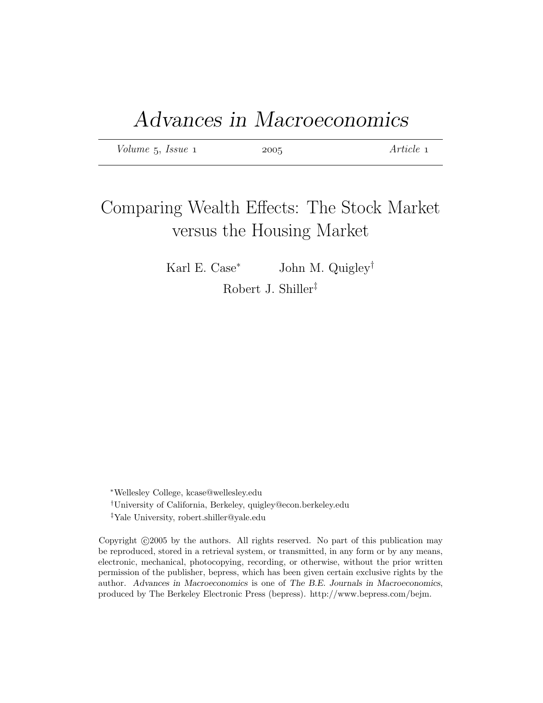| Volume 5, Issue 1 | 2005 | Article 1 |
|-------------------|------|-----------|
|-------------------|------|-----------|

### Comparing Wealth Effects: The Stock Market versus the Housing Market

Karl E. Case<sup>∗</sup> John M. Quigley† Robert J. Shiller‡

<sup>∗</sup>Wellesley College, kcase@wellesley.edu †University of California, Berkeley, quigley@econ.berkeley.edu ‡Yale University, robert.shiller@yale.edu

Copyright  $\odot$  2005 by the authors. All rights reserved. No part of this publication may be reproduced, stored in a retrieval system, or transmitted, in any form or by any means, electronic, mechanical, photocopying, recording, or otherwise, without the prior written permission of the publisher, bepress, which has been given certain exclusive rights by the author. Advances in Macroeconomics is one of The B.E. Journals in Macroeconomics, produced by The Berkeley Electronic Press (bepress). http://www.bepress.com/bejm.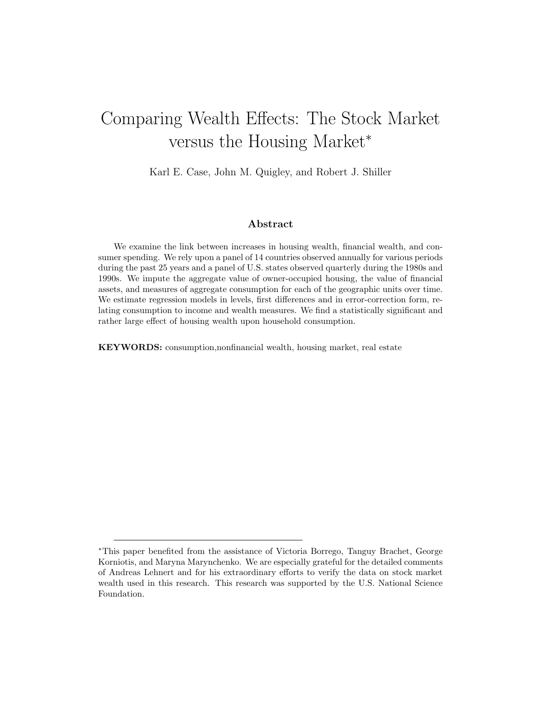### Comparing Wealth Effects: The Stock Market versus the Housing Market<sup>∗</sup>

Karl E. Case, John M. Quigley, and Robert J. Shiller

#### Abstract

We examine the link between increases in housing wealth, financial wealth, and consumer spending. We rely upon a panel of 14 countries observed annually for various periods during the past 25 years and a panel of U.S. states observed quarterly during the 1980s and 1990s. We impute the aggregate value of owner-occupied housing, the value of financial assets, and measures of aggregate consumption for each of the geographic units over time. We estimate regression models in levels, first differences and in error-correction form, relating consumption to income and wealth measures. We find a statistically significant and rather large effect of housing wealth upon household consumption.

KEYWORDS: consumption,nonfinancial wealth, housing market, real estate

<sup>∗</sup>This paper benefited from the assistance of Victoria Borrego, Tanguy Brachet, George Korniotis, and Maryna Marynchenko. We are especially grateful for the detailed comments of Andreas Lehnert and for his extraordinary efforts to verify the data on stock market wealth used in this research. This research was supported by the U.S. National Science Foundation.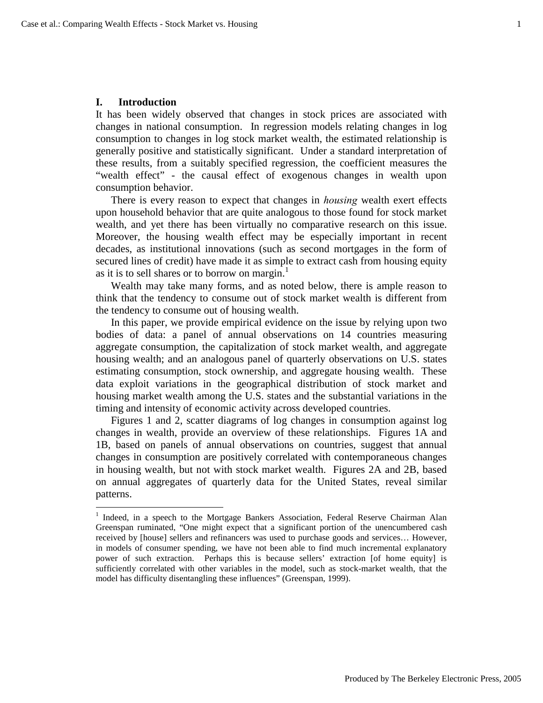#### **I. Introduction**

1

It has been widely observed that changes in stock prices are associated with changes in national consumption. In regression models relating changes in log consumption to changes in log stock market wealth, the estimated relationship is generally positive and statistically significant. Under a standard interpretation of these results, from a suitably specified regression, the coefficient measures the "wealth effect" - the causal effect of exogenous changes in wealth upon consumption behavior.

There is every reason to expect that changes in *housing* wealth exert effects upon household behavior that are quite analogous to those found for stock market wealth, and yet there has been virtually no comparative research on this issue. Moreover, the housing wealth effect may be especially important in recent decades, as institutional innovations (such as second mortgages in the form of secured lines of credit) have made it as simple to extract cash from housing equity as it is to sell shares or to borrow on margin.<sup>1</sup>

Wealth may take many forms, and as noted below, there is ample reason to think that the tendency to consume out of stock market wealth is different from the tendency to consume out of housing wealth.

In this paper, we provide empirical evidence on the issue by relying upon two bodies of data: a panel of annual observations on 14 countries measuring aggregate consumption, the capitalization of stock market wealth, and aggregate housing wealth; and an analogous panel of quarterly observations on U.S. states estimating consumption, stock ownership, and aggregate housing wealth. These data exploit variations in the geographical distribution of stock market and housing market wealth among the U.S. states and the substantial variations in the timing and intensity of economic activity across developed countries.

Figures 1 and 2, scatter diagrams of log changes in consumption against log changes in wealth, provide an overview of these relationships. Figures 1A and 1B, based on panels of annual observations on countries, suggest that annual changes in consumption are positively correlated with contemporaneous changes in housing wealth, but not with stock market wealth. Figures 2A and 2B, based on annual aggregates of quarterly data for the United States, reveal similar patterns.

<sup>&</sup>lt;sup>1</sup> Indeed, in a speech to the Mortgage Bankers Association, Federal Reserve Chairman Alan Greenspan ruminated, "One might expect that a significant portion of the unencumbered cash received by [house] sellers and refinancers was used to purchase goods and services… However, in models of consumer spending, we have not been able to find much incremental explanatory power of such extraction. Perhaps this is because sellers' extraction [of home equity] is sufficiently correlated with other variables in the model, such as stock-market wealth, that the model has difficulty disentangling these influences" (Greenspan, 1999).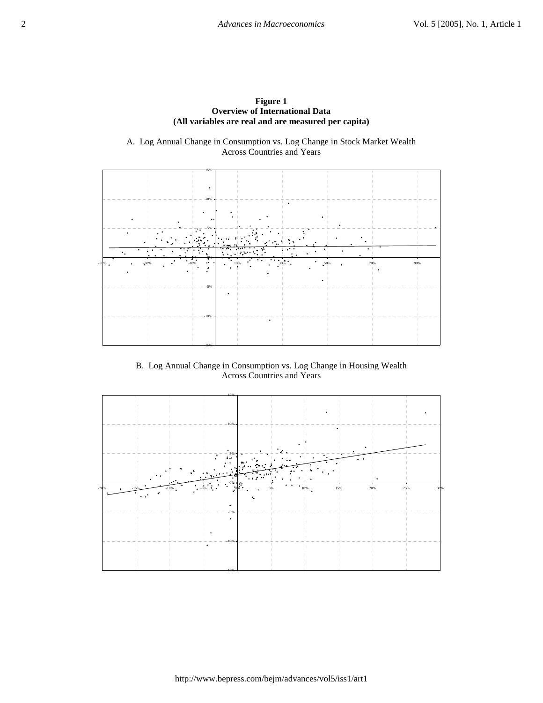

A. Log Annual Change in Consumption vs. Log Change in Stock Market Wealth Across Countries and Years



B. Log Annual Change in Consumption vs. Log Change in Housing Wealth Across Countries and Years

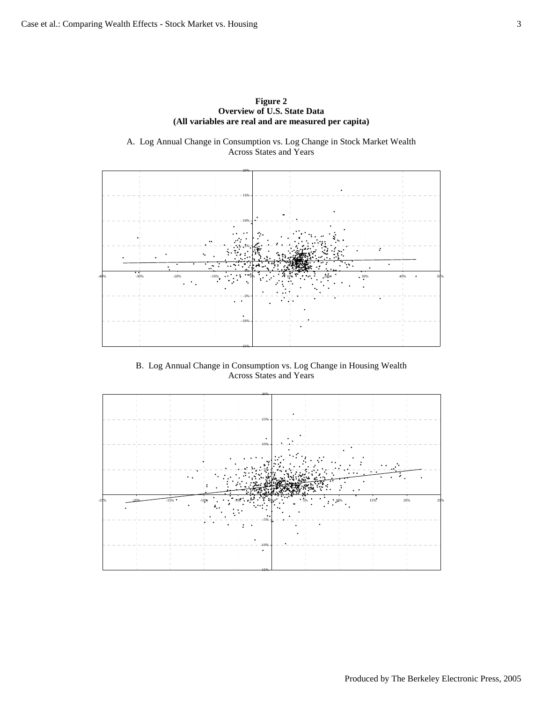

A. Log Annual Change in Consumption vs. Log Change in Stock Market Wealth Across States and Years



B. Log Annual Change in Consumption vs. Log Change in Housing Wealth Across States and Years

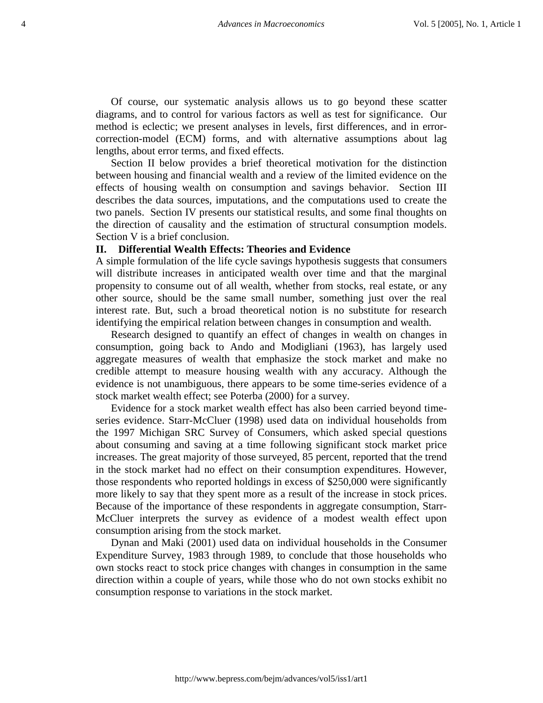Of course, our systematic analysis allows us to go beyond these scatter diagrams, and to control for various factors as well as test for significance. Our method is eclectic; we present analyses in levels, first differences, and in errorcorrection-model (ECM) forms, and with alternative assumptions about lag lengths, about error terms, and fixed effects.

Section II below provides a brief theoretical motivation for the distinction between housing and financial wealth and a review of the limited evidence on the effects of housing wealth on consumption and savings behavior. Section III describes the data sources, imputations, and the computations used to create the two panels. Section IV presents our statistical results, and some final thoughts on the direction of causality and the estimation of structural consumption models. Section V is a brief conclusion.

#### **II. Differential Wealth Effects: Theories and Evidence**

A simple formulation of the life cycle savings hypothesis suggests that consumers will distribute increases in anticipated wealth over time and that the marginal propensity to consume out of all wealth, whether from stocks, real estate, or any other source, should be the same small number, something just over the real interest rate. But, such a broad theoretical notion is no substitute for research identifying the empirical relation between changes in consumption and wealth.

Research designed to quantify an effect of changes in wealth on changes in consumption, going back to Ando and Modigliani (1963), has largely used aggregate measures of wealth that emphasize the stock market and make no credible attempt to measure housing wealth with any accuracy. Although the evidence is not unambiguous, there appears to be some time-series evidence of a stock market wealth effect; see Poterba (2000) for a survey.

Evidence for a stock market wealth effect has also been carried beyond timeseries evidence. Starr-McCluer (1998) used data on individual households from the 1997 Michigan SRC Survey of Consumers, which asked special questions about consuming and saving at a time following significant stock market price increases. The great majority of those surveyed, 85 percent, reported that the trend in the stock market had no effect on their consumption expenditures. However, those respondents who reported holdings in excess of \$250,000 were significantly more likely to say that they spent more as a result of the increase in stock prices. Because of the importance of these respondents in aggregate consumption, Starr-McCluer interprets the survey as evidence of a modest wealth effect upon consumption arising from the stock market.

Dynan and Maki (2001) used data on individual households in the Consumer Expenditure Survey, 1983 through 1989, to conclude that those households who own stocks react to stock price changes with changes in consumption in the same direction within a couple of years, while those who do not own stocks exhibit no consumption response to variations in the stock market.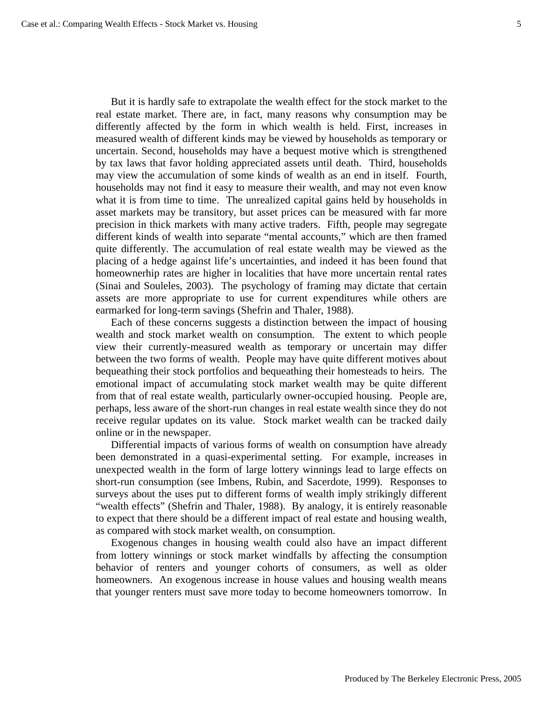But it is hardly safe to extrapolate the wealth effect for the stock market to the real estate market. There are, in fact, many reasons why consumption may be differently affected by the form in which wealth is held. First, increases in measured wealth of different kinds may be viewed by households as temporary or uncertain. Second, households may have a bequest motive which is strengthened by tax laws that favor holding appreciated assets until death. Third, households may view the accumulation of some kinds of wealth as an end in itself. Fourth, households may not find it easy to measure their wealth, and may not even know what it is from time to time. The unrealized capital gains held by households in asset markets may be transitory, but asset prices can be measured with far more precision in thick markets with many active traders. Fifth, people may segregate different kinds of wealth into separate "mental accounts," which are then framed quite differently. The accumulation of real estate wealth may be viewed as the placing of a hedge against life's uncertainties, and indeed it has been found that homeownerhip rates are higher in localities that have more uncertain rental rates (Sinai and Souleles, 2003). The psychology of framing may dictate that certain assets are more appropriate to use for current expenditures while others are earmarked for long-term savings (Shefrin and Thaler, 1988).

Each of these concerns suggests a distinction between the impact of housing wealth and stock market wealth on consumption. The extent to which people view their currently-measured wealth as temporary or uncertain may differ between the two forms of wealth. People may have quite different motives about bequeathing their stock portfolios and bequeathing their homesteads to heirs. The emotional impact of accumulating stock market wealth may be quite different from that of real estate wealth, particularly owner-occupied housing. People are, perhaps, less aware of the short-run changes in real estate wealth since they do not receive regular updates on its value. Stock market wealth can be tracked daily online or in the newspaper.

Differential impacts of various forms of wealth on consumption have already been demonstrated in a quasi-experimental setting. For example, increases in unexpected wealth in the form of large lottery winnings lead to large effects on short-run consumption (see Imbens, Rubin, and Sacerdote, 1999). Responses to surveys about the uses put to different forms of wealth imply strikingly different "wealth effects" (Shefrin and Thaler, 1988). By analogy, it is entirely reasonable to expect that there should be a different impact of real estate and housing wealth, as compared with stock market wealth, on consumption.

Exogenous changes in housing wealth could also have an impact different from lottery winnings or stock market windfalls by affecting the consumption behavior of renters and younger cohorts of consumers, as well as older homeowners. An exogenous increase in house values and housing wealth means that younger renters must save more today to become homeowners tomorrow. In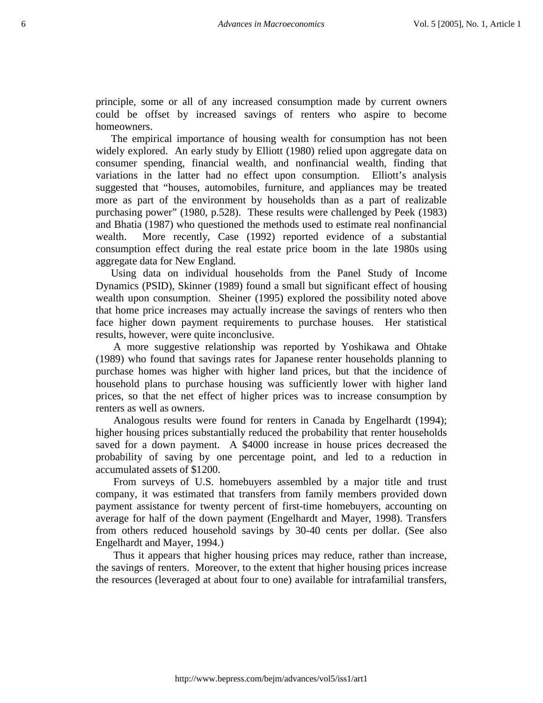principle, some or all of any increased consumption made by current owners could be offset by increased savings of renters who aspire to become homeowners.

The empirical importance of housing wealth for consumption has not been widely explored. An early study by Elliott (1980) relied upon aggregate data on consumer spending, financial wealth, and nonfinancial wealth, finding that variations in the latter had no effect upon consumption. Elliott's analysis suggested that "houses, automobiles, furniture, and appliances may be treated more as part of the environment by households than as a part of realizable purchasing power" (1980, p.528). These results were challenged by Peek (1983) and Bhatia (1987) who questioned the methods used to estimate real nonfinancial wealth. More recently, Case (1992) reported evidence of a substantial consumption effect during the real estate price boom in the late 1980s using aggregate data for New England.

Using data on individual households from the Panel Study of Income Dynamics (PSID), Skinner (1989) found a small but significant effect of housing wealth upon consumption. Sheiner (1995) explored the possibility noted above that home price increases may actually increase the savings of renters who then face higher down payment requirements to purchase houses. Her statistical results, however, were quite inconclusive.

A more suggestive relationship was reported by Yoshikawa and Ohtake (1989) who found that savings rates for Japanese renter households planning to purchase homes was higher with higher land prices, but that the incidence of household plans to purchase housing was sufficiently lower with higher land prices, so that the net effect of higher prices was to increase consumption by renters as well as owners.

Analogous results were found for renters in Canada by Engelhardt (1994); higher housing prices substantially reduced the probability that renter households saved for a down payment. A \$4000 increase in house prices decreased the probability of saving by one percentage point, and led to a reduction in accumulated assets of \$1200.

From surveys of U.S. homebuyers assembled by a major title and trust company, it was estimated that transfers from family members provided down payment assistance for twenty percent of first-time homebuyers, accounting on average for half of the down payment (Engelhardt and Mayer, 1998). Transfers from others reduced household savings by 30-40 cents per dollar. (See also Engelhardt and Mayer, 1994.)

Thus it appears that higher housing prices may reduce, rather than increase, the savings of renters. Moreover, to the extent that higher housing prices increase the resources (leveraged at about four to one) available for intrafamilial transfers,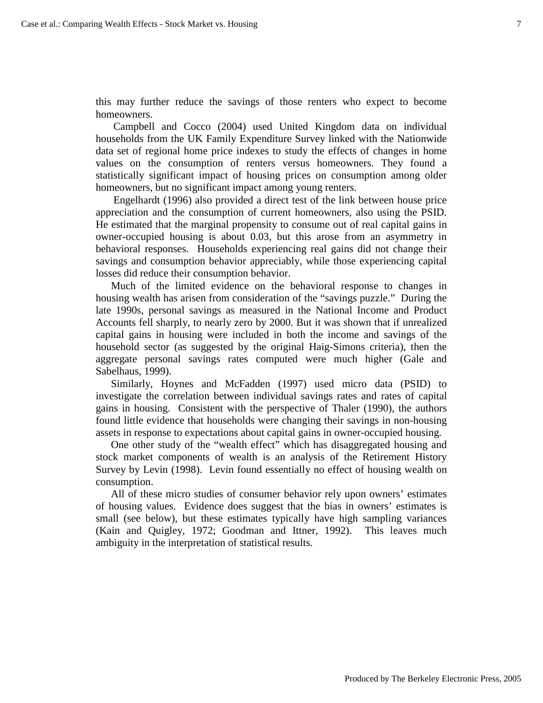this may further reduce the savings of those renters who expect to become homeowners.

Campbell and Cocco (2004) used United Kingdom data on individual households from the UK Family Expenditure Survey linked with the Nationwide data set of regional home price indexes to study the effects of changes in home values on the consumption of renters versus homeowners. They found a statistically significant impact of housing prices on consumption among older homeowners, but no significant impact among young renters.

Engelhardt (1996) also provided a direct test of the link between house price appreciation and the consumption of current homeowners, also using the PSID. He estimated that the marginal propensity to consume out of real capital gains in owner-occupied housing is about 0.03, but this arose from an asymmetry in behavioral responses. Households experiencing real gains did not change their savings and consumption behavior appreciably, while those experiencing capital losses did reduce their consumption behavior.

Much of the limited evidence on the behavioral response to changes in housing wealth has arisen from consideration of the "savings puzzle." During the late 1990s, personal savings as measured in the National Income and Product Accounts fell sharply, to nearly zero by 2000. But it was shown that if unrealized capital gains in housing were included in both the income and savings of the household sector (as suggested by the original Haig-Simons criteria), then the aggregate personal savings rates computed were much higher (Gale and Sabelhaus, 1999).

Similarly, Hoynes and McFadden (1997) used micro data (PSID) to investigate the correlation between individual savings rates and rates of capital gains in housing. Consistent with the perspective of Thaler (1990), the authors found little evidence that households were changing their savings in non-housing assets in response to expectations about capital gains in owner-occupied housing.

One other study of the "wealth effect" which has disaggregated housing and stock market components of wealth is an analysis of the Retirement History Survey by Levin (1998). Levin found essentially no effect of housing wealth on consumption.

All of these micro studies of consumer behavior rely upon owners' estimates of housing values. Evidence does suggest that the bias in owners' estimates is small (see below), but these estimates typically have high sampling variances (Kain and Quigley, 1972; Goodman and Ittner, 1992). This leaves much ambiguity in the interpretation of statistical results.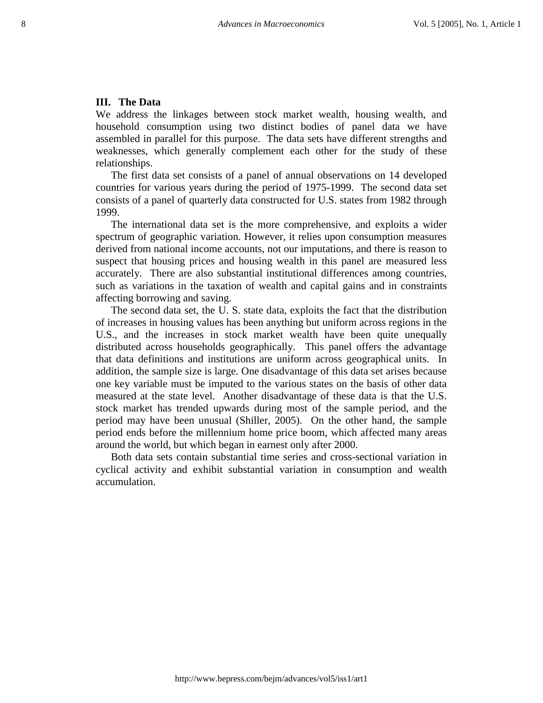#### **III. The Data**

We address the linkages between stock market wealth, housing wealth, and household consumption using two distinct bodies of panel data we have assembled in parallel for this purpose. The data sets have different strengths and weaknesses, which generally complement each other for the study of these relationships.

The first data set consists of a panel of annual observations on 14 developed countries for various years during the period of 1975-1999. The second data set consists of a panel of quarterly data constructed for U.S. states from 1982 through 1999.

The international data set is the more comprehensive, and exploits a wider spectrum of geographic variation. However, it relies upon consumption measures derived from national income accounts, not our imputations, and there is reason to suspect that housing prices and housing wealth in this panel are measured less accurately. There are also substantial institutional differences among countries, such as variations in the taxation of wealth and capital gains and in constraints affecting borrowing and saving.

The second data set, the U. S. state data, exploits the fact that the distribution of increases in housing values has been anything but uniform across regions in the U.S., and the increases in stock market wealth have been quite unequally distributed across households geographically. This panel offers the advantage that data definitions and institutions are uniform across geographical units. In addition, the sample size is large. One disadvantage of this data set arises because one key variable must be imputed to the various states on the basis of other data measured at the state level. Another disadvantage of these data is that the U.S. stock market has trended upwards during most of the sample period, and the period may have been unusual (Shiller, 2005). On the other hand, the sample period ends before the millennium home price boom, which affected many areas around the world, but which began in earnest only after 2000.

Both data sets contain substantial time series and cross-sectional variation in cyclical activity and exhibit substantial variation in consumption and wealth accumulation.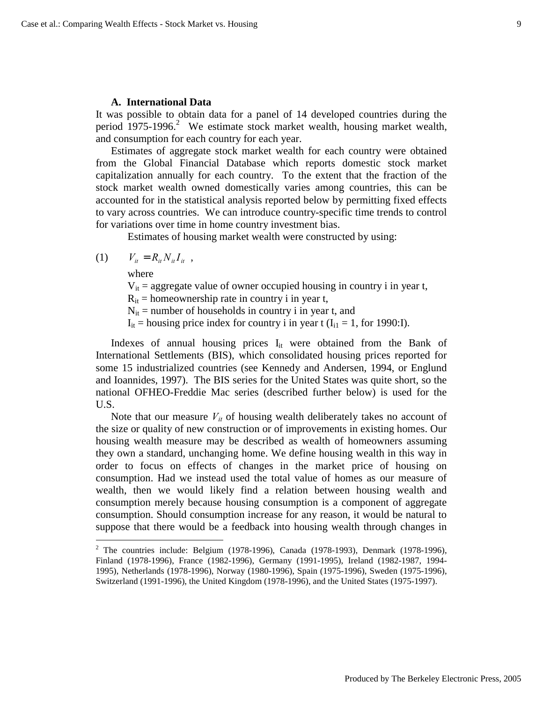#### **A. International Data**

It was possible to obtain data for a panel of 14 developed countries during the period 1975-1996.<sup>2</sup> We estimate stock market wealth, housing market wealth, and consumption for each country for each year.

Estimates of aggregate stock market wealth for each country were obtained from the Global Financial Database which reports domestic stock market capitalization annually for each country. To the extent that the fraction of the stock market wealth owned domestically varies among countries, this can be accounted for in the statistical analysis reported below by permitting fixed effects to vary across countries. We can introduce country-specific time trends to control for variations over time in home country investment bias.

Estimates of housing market wealth were constructed by using:

(1)  $V_{it} = R_{it} N_{it} I_{it}$ ,

where

1

 $V_{it}$  = aggregate value of owner occupied housing in country i in year t,

 $R_{it}$  = homeownership rate in country i in year t,

 $N_{it}$  = number of households in country i in year t, and

 $I_{it}$  = housing price index for country i in year t ( $I_{i1}$  = 1, for 1990:I).

Indexes of annual housing prices  $I_{it}$  were obtained from the Bank of International Settlements (BIS), which consolidated housing prices reported for some 15 industrialized countries (see Kennedy and Andersen, 1994, or Englund and Ioannides, 1997). The BIS series for the United States was quite short, so the national OFHEO-Freddie Mac series (described further below) is used for the U.S.

Note that our measure  $V_{it}$  of housing wealth deliberately takes no account of the size or quality of new construction or of improvements in existing homes. Our housing wealth measure may be described as wealth of homeowners assuming they own a standard, unchanging home. We define housing wealth in this way in order to focus on effects of changes in the market price of housing on consumption. Had we instead used the total value of homes as our measure of wealth, then we would likely find a relation between housing wealth and consumption merely because housing consumption is a component of aggregate consumption. Should consumption increase for any reason, it would be natural to suppose that there would be a feedback into housing wealth through changes in

<sup>&</sup>lt;sup>2</sup> The countries include: Belgium (1978-1996), Canada (1978-1993), Denmark (1978-1996), Finland (1978-1996), France (1982-1996), Germany (1991-1995), Ireland (1982-1987, 1994- 1995), Netherlands (1978-1996), Norway (1980-1996), Spain (1975-1996), Sweden (1975-1996), Switzerland (1991-1996), the United Kingdom (1978-1996), and the United States (1975-1997).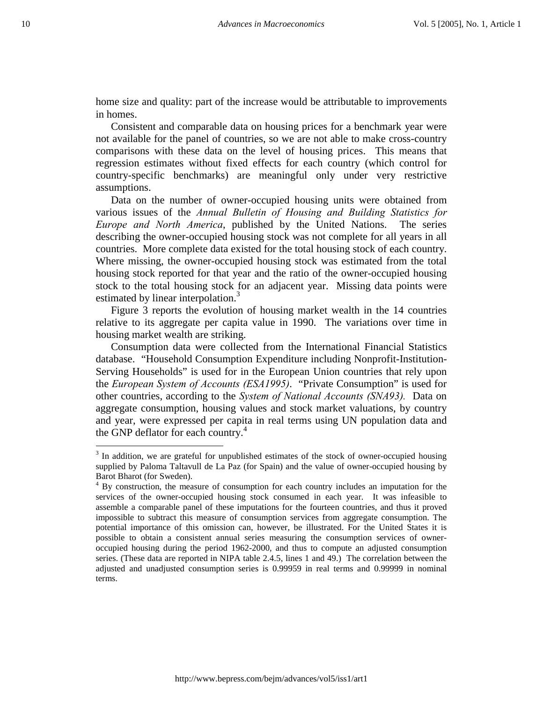home size and quality: part of the increase would be attributable to improvements in homes.

Consistent and comparable data on housing prices for a benchmark year were not available for the panel of countries, so we are not able to make cross-country comparisons with these data on the level of housing prices. This means that regression estimates without fixed effects for each country (which control for country-specific benchmarks) are meaningful only under very restrictive assumptions.

Data on the number of owner-occupied housing units were obtained from various issues of the *Annual Bulletin of Housing and Building Statistics for Europe and North America*, published by the United Nations. The series describing the owner-occupied housing stock was not complete for all years in all countries. More complete data existed for the total housing stock of each country. Where missing, the owner-occupied housing stock was estimated from the total housing stock reported for that year and the ratio of the owner-occupied housing stock to the total housing stock for an adjacent year. Missing data points were estimated by linear interpolation.<sup>3</sup>

Figure 3 reports the evolution of housing market wealth in the 14 countries relative to its aggregate per capita value in 1990. The variations over time in housing market wealth are striking.

Consumption data were collected from the International Financial Statistics database. "Household Consumption Expenditure including Nonprofit-Institution-Serving Households" is used for in the European Union countries that rely upon the *European System of Accounts (ESA1995)*. "Private Consumption" is used for other countries, according to the *System of National Accounts (SNA93).* Data on aggregate consumption, housing values and stock market valuations, by country and year, were expressed per capita in real terms using UN population data and the GNP deflator for each country.<sup>4</sup>

 $\overline{\phantom{a}}$ 

 $3$  In addition, we are grateful for unpublished estimates of the stock of owner-occupied housing supplied by Paloma Taltavull de La Paz (for Spain) and the value of owner-occupied housing by Barot Bharot (for Sweden).

<sup>&</sup>lt;sup>4</sup> By construction, the measure of consumption for each country includes an imputation for the services of the owner-occupied housing stock consumed in each year. It was infeasible to assemble a comparable panel of these imputations for the fourteen countries, and thus it proved impossible to subtract this measure of consumption services from aggregate consumption. The potential importance of this omission can, however, be illustrated. For the United States it is possible to obtain a consistent annual series measuring the consumption services of owneroccupied housing during the period 1962-2000, and thus to compute an adjusted consumption series. (These data are reported in NIPA table 2.4.5, lines 1 and 49.) The correlation between the adjusted and unadjusted consumption series is 0.99959 in real terms and 0.99999 in nominal terms.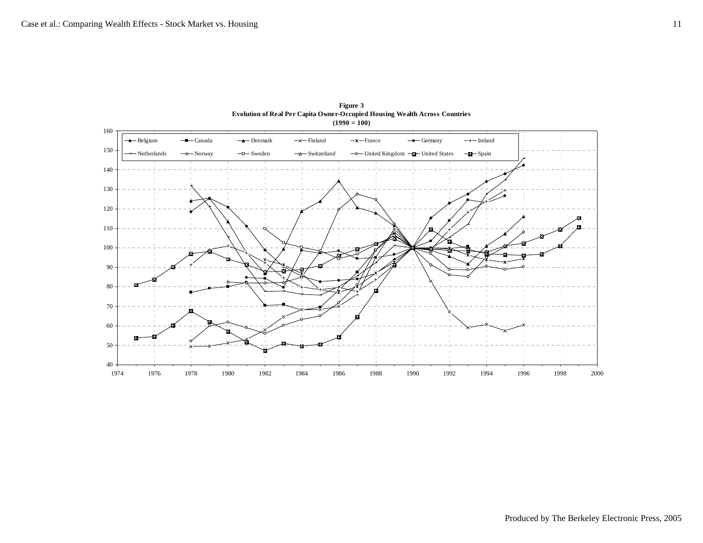

**Figure 3 Evolution of Real Per Capita Owner-Occupied Housing Wealth Across Countries (1990 = 100)**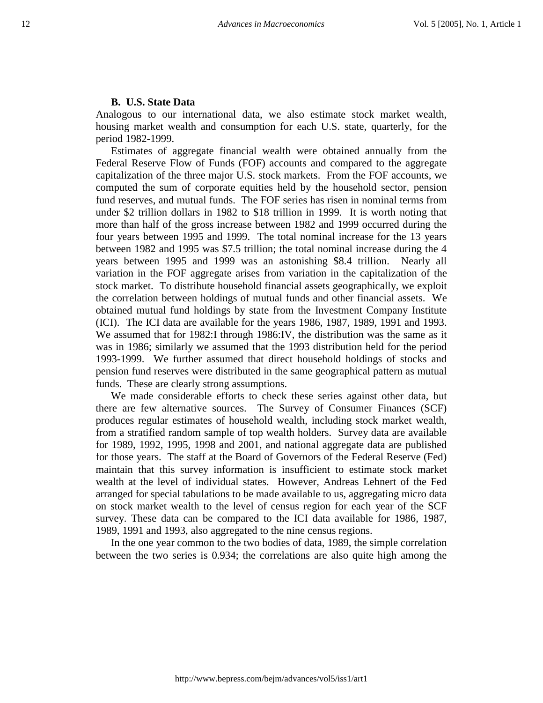#### **B. U.S. State Data**

Analogous to our international data, we also estimate stock market wealth, housing market wealth and consumption for each U.S. state, quarterly, for the period 1982-1999.

Estimates of aggregate financial wealth were obtained annually from the Federal Reserve Flow of Funds (FOF) accounts and compared to the aggregate capitalization of the three major U.S. stock markets. From the FOF accounts, we computed the sum of corporate equities held by the household sector, pension fund reserves, and mutual funds. The FOF series has risen in nominal terms from under \$2 trillion dollars in 1982 to \$18 trillion in 1999. It is worth noting that more than half of the gross increase between 1982 and 1999 occurred during the four years between 1995 and 1999. The total nominal increase for the 13 years between 1982 and 1995 was \$7.5 trillion; the total nominal increase during the 4 years between 1995 and 1999 was an astonishing \$8.4 trillion. Nearly all variation in the FOF aggregate arises from variation in the capitalization of the stock market. To distribute household financial assets geographically, we exploit the correlation between holdings of mutual funds and other financial assets. We obtained mutual fund holdings by state from the Investment Company Institute (ICI). The ICI data are available for the years 1986, 1987, 1989, 1991 and 1993. We assumed that for 1982:I through 1986:IV, the distribution was the same as it was in 1986; similarly we assumed that the 1993 distribution held for the period 1993-1999. We further assumed that direct household holdings of stocks and pension fund reserves were distributed in the same geographical pattern as mutual funds. These are clearly strong assumptions.

We made considerable efforts to check these series against other data, but there are few alternative sources. The Survey of Consumer Finances (SCF) produces regular estimates of household wealth, including stock market wealth, from a stratified random sample of top wealth holders. Survey data are available for 1989, 1992, 1995, 1998 and 2001, and national aggregate data are published for those years. The staff at the Board of Governors of the Federal Reserve (Fed) maintain that this survey information is insufficient to estimate stock market wealth at the level of individual states. However, Andreas Lehnert of the Fed arranged for special tabulations to be made available to us, aggregating micro data on stock market wealth to the level of census region for each year of the SCF survey. These data can be compared to the ICI data available for 1986, 1987, 1989, 1991 and 1993, also aggregated to the nine census regions.

In the one year common to the two bodies of data, 1989, the simple correlation between the two series is 0.934; the correlations are also quite high among the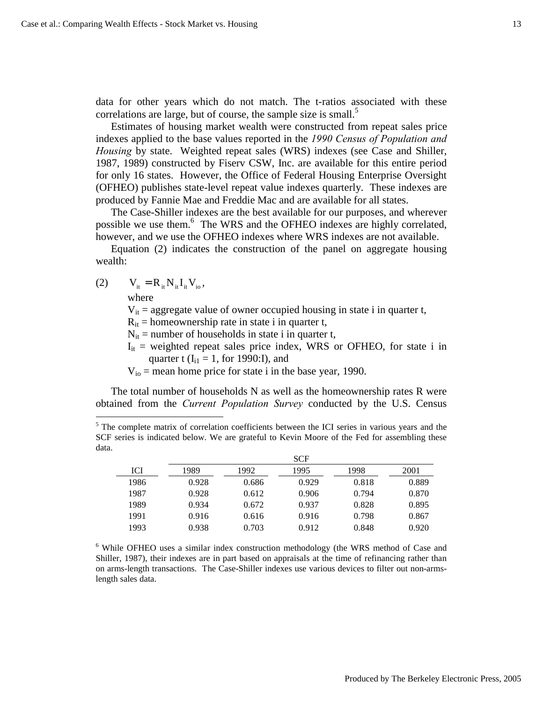data for other years which do not match. The t-ratios associated with these correlations are large, but of course, the sample size is small. $<sup>5</sup>$ </sup>

Estimates of housing market wealth were constructed from repeat sales price indexes applied to the base values reported in the *1990 Census of Population and Housing* by state. Weighted repeat sales (WRS) indexes (see Case and Shiller, 1987, 1989) constructed by Fiserv CSW, Inc. are available for this entire period for only 16 states. However, the Office of Federal Housing Enterprise Oversight (OFHEO) publishes state-level repeat value indexes quarterly. These indexes are produced by Fannie Mae and Freddie Mac and are available for all states.

The Case-Shiller indexes are the best available for our purposes, and wherever possible we use them.<sup>6</sup> The WRS and the OFHEO indexes are highly correlated, however, and we use the OFHEO indexes where WRS indexes are not available.

Equation (2) indicates the construction of the panel on aggregate housing wealth:

(2)  $V_{it} = R_{it} N_{it} I_{it} V_{io}$ ,

where

 $\overline{\phantom{a}}$ 

 $V_{it}$  = aggregate value of owner occupied housing in state i in quarter t,

 $R_{it}$  = homeownership rate in state i in quarter t,

 $N_{it}$  = number of households in state i in quarter t,

 $I_{it}$  = weighted repeat sales price index, WRS or OFHEO, for state i in quarter t  $(I<sub>i1</sub> = 1,$  for 1990:I), and

 $V_{io}$  = mean home price for state i in the base year, 1990.

The total number of households N as well as the homeownership rates R were obtained from the *Current Population Survey* conducted by the U.S. Census

<sup>&</sup>lt;sup>5</sup> The complete matrix of correlation coefficients between the ICI series in various years and the SCF series is indicated below. We are grateful to Kevin Moore of the Fed for assembling these data.

|      |       |       | <b>SCF</b> |       |       |
|------|-------|-------|------------|-------|-------|
| ICI  | 1989  | 1992  | 1995       | 1998  | 2001  |
| 1986 | 0.928 | 0.686 | 0.929      | 0.818 | 0.889 |
| 1987 | 0.928 | 0.612 | 0.906      | 0.794 | 0.870 |
| 1989 | 0.934 | 0.672 | 0.937      | 0.828 | 0.895 |
| 1991 | 0.916 | 0.616 | 0.916      | 0.798 | 0.867 |
| 1993 | 0.938 | 0.703 | 0.912      | 0.848 | 0.920 |

<sup>6</sup> While OFHEO uses a similar index construction methodology (the WRS method of Case and Shiller, 1987), their indexes are in part based on appraisals at the time of refinancing rather than on arms-length transactions. The Case-Shiller indexes use various devices to filter out non-armslength sales data.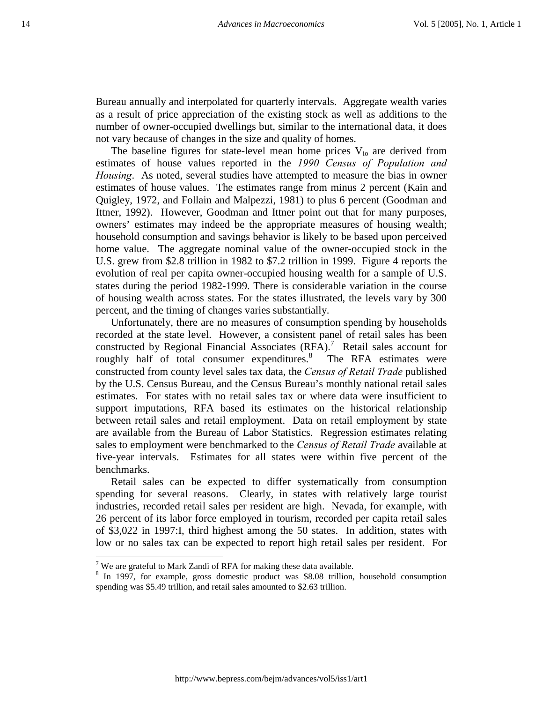Bureau annually and interpolated for quarterly intervals. Aggregate wealth varies as a result of price appreciation of the existing stock as well as additions to the number of owner-occupied dwellings but, similar to the international data, it does not vary because of changes in the size and quality of homes.

The baseline figures for state-level mean home prices  $V_{i0}$  are derived from estimates of house values reported in the *1990 Census of Population and Housing*. As noted, several studies have attempted to measure the bias in owner estimates of house values. The estimates range from minus 2 percent (Kain and Quigley, 1972, and Follain and Malpezzi, 1981) to plus 6 percent (Goodman and Ittner, 1992). However, Goodman and Ittner point out that for many purposes, owners' estimates may indeed be the appropriate measures of housing wealth; household consumption and savings behavior is likely to be based upon perceived home value. The aggregate nominal value of the owner-occupied stock in the U.S. grew from \$2.8 trillion in 1982 to \$7.2 trillion in 1999. Figure 4 reports the evolution of real per capita owner-occupied housing wealth for a sample of U.S. states during the period 1982-1999. There is considerable variation in the course of housing wealth across states. For the states illustrated, the levels vary by 300 percent, and the timing of changes varies substantially.

Unfortunately, there are no measures of consumption spending by households recorded at the state level. However, a consistent panel of retail sales has been constructed by Regional Financial Associates  $(RFA)$ .<sup>7</sup> Retail sales account for roughly half of total consumer expenditures.<sup>8</sup> The RFA estimates were constructed from county level sales tax data, the *Census of Retail Trade* published by the U.S. Census Bureau, and the Census Bureau's monthly national retail sales estimates. For states with no retail sales tax or where data were insufficient to support imputations, RFA based its estimates on the historical relationship between retail sales and retail employment. Data on retail employment by state are available from the Bureau of Labor Statistics. Regression estimates relating sales to employment were benchmarked to the *Census of Retail Trade* available at five-year intervals. Estimates for all states were within five percent of the benchmarks.

Retail sales can be expected to differ systematically from consumption spending for several reasons. Clearly, in states with relatively large tourist industries, recorded retail sales per resident are high. Nevada, for example, with 26 percent of its labor force employed in tourism, recorded per capita retail sales of \$3,022 in 1997:I, third highest among the 50 states. In addition, states with low or no sales tax can be expected to report high retail sales per resident. For

 $\overline{\phantom{a}}$ 

<sup>&</sup>lt;sup>7</sup> We are grateful to Mark Zandi of RFA for making these data available.

<sup>&</sup>lt;sup>8</sup> In 1997, for example, gross domestic product was \$8.08 trillion, household consumption spending was \$5.49 trillion, and retail sales amounted to \$2.63 trillion.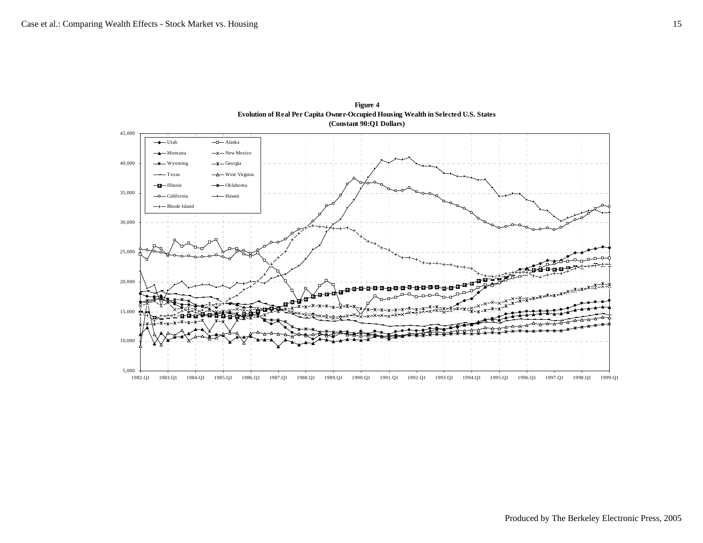

**Figure 4 Evolution of Real Per Capita Owner-Occupied Housing Wealth in Selected U.S. States (Constant 90:Q1 Dollars)**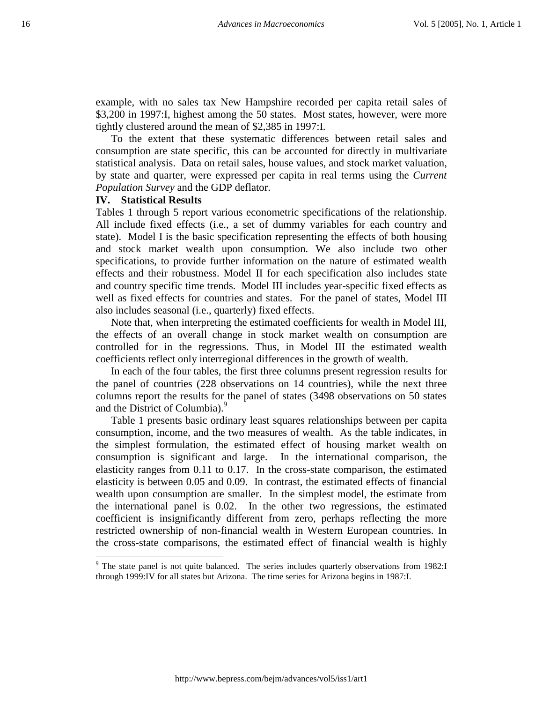example, with no sales tax New Hampshire recorded per capita retail sales of \$3,200 in 1997:I, highest among the 50 states. Most states, however, were more tightly clustered around the mean of \$2,385 in 1997:I.

To the extent that these systematic differences between retail sales and consumption are state specific, this can be accounted for directly in multivariate statistical analysis. Data on retail sales, house values, and stock market valuation, by state and quarter, were expressed per capita in real terms using the *Current Population Survey* and the GDP deflator.

#### **IV. Statistical Results**

 $\overline{\phantom{a}}$ 

Tables 1 through 5 report various econometric specifications of the relationship. All include fixed effects (i.e., a set of dummy variables for each country and state). Model I is the basic specification representing the effects of both housing and stock market wealth upon consumption. We also include two other specifications, to provide further information on the nature of estimated wealth effects and their robustness. Model II for each specification also includes state and country specific time trends. Model III includes year-specific fixed effects as well as fixed effects for countries and states. For the panel of states, Model III also includes seasonal (i.e., quarterly) fixed effects.

Note that, when interpreting the estimated coefficients for wealth in Model III, the effects of an overall change in stock market wealth on consumption are controlled for in the regressions. Thus, in Model III the estimated wealth coefficients reflect only interregional differences in the growth of wealth.

In each of the four tables, the first three columns present regression results for the panel of countries (228 observations on 14 countries), while the next three columns report the results for the panel of states (3498 observations on 50 states and the District of Columbia).<sup>9</sup>

Table 1 presents basic ordinary least squares relationships between per capita consumption, income, and the two measures of wealth. As the table indicates, in the simplest formulation, the estimated effect of housing market wealth on consumption is significant and large. In the international comparison, the elasticity ranges from 0.11 to 0.17. In the cross-state comparison, the estimated elasticity is between 0.05 and 0.09. In contrast, the estimated effects of financial wealth upon consumption are smaller. In the simplest model, the estimate from the international panel is 0.02. In the other two regressions, the estimated coefficient is insignificantly different from zero, perhaps reflecting the more restricted ownership of non-financial wealth in Western European countries. In the cross-state comparisons, the estimated effect of financial wealth is highly

<sup>&</sup>lt;sup>9</sup> The state panel is not quite balanced. The series includes quarterly observations from 1982:I through 1999:IV for all states but Arizona. The time series for Arizona begins in 1987:I.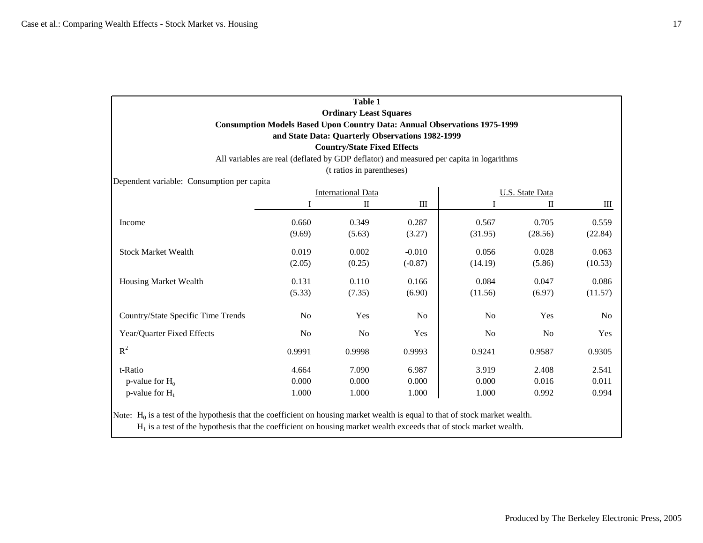|                                            |                | <b>Table 1</b>                     |                                                                                         |                |                        |         |
|--------------------------------------------|----------------|------------------------------------|-----------------------------------------------------------------------------------------|----------------|------------------------|---------|
|                                            |                | <b>Ordinary Least Squares</b>      |                                                                                         |                |                        |         |
|                                            |                |                                    | <b>Consumption Models Based Upon Country Data: Annual Observations 1975-1999</b>        |                |                        |         |
|                                            |                |                                    | and State Data: Quarterly Observations 1982-1999                                        |                |                        |         |
|                                            |                | <b>Country/State Fixed Effects</b> |                                                                                         |                |                        |         |
|                                            |                |                                    | All variables are real (deflated by GDP deflator) and measured per capita in logarithms |                |                        |         |
|                                            |                | (t ratios in parentheses)          |                                                                                         |                |                        |         |
| Dependent variable: Consumption per capita |                |                                    |                                                                                         |                |                        |         |
|                                            |                | <b>International Data</b>          |                                                                                         |                | <b>U.S. State Data</b> |         |
|                                            |                | $\mathbf{I}$                       | $\rm III$                                                                               |                | $\mathbf I$            | Ш       |
| Income                                     | 0.660          | 0.349                              | 0.287                                                                                   | 0.567          | 0.705                  | 0.559   |
|                                            | (9.69)         | (5.63)                             | (3.27)                                                                                  | (31.95)        | (28.56)                | (22.84) |
| <b>Stock Market Wealth</b>                 | 0.019          | 0.002                              | $-0.010$                                                                                | 0.056          | 0.028                  | 0.063   |
|                                            | (2.05)         | (0.25)                             | $(-0.87)$                                                                               | (14.19)        | (5.86)                 | (10.53) |
| Housing Market Wealth                      | 0.131          | 0.110                              | 0.166                                                                                   | 0.084          | 0.047                  | 0.086   |
|                                            | (5.33)         | (7.35)                             | (6.90)                                                                                  | (11.56)        | (6.97)                 | (11.57) |
| Country/State Specific Time Trends         | No             | Yes                                | No                                                                                      | N <sub>o</sub> | Yes                    | No      |
| Year/Quarter Fixed Effects                 | N <sub>0</sub> | No                                 | Yes                                                                                     | N <sub>0</sub> | No                     | Yes     |
| $R^2$                                      | 0.9991         | 0.9998                             | 0.9993                                                                                  | 0.9241         | 0.9587                 | 0.9305  |
| t-Ratio                                    | 4.664          | 7.090                              | 6.987                                                                                   | 3.919          | 2.408                  | 2.541   |
| p-value for $H_0$                          | 0.000          | 0.000                              | 0.000                                                                                   | 0.000          | 0.016                  | 0.011   |
| p-value for $H_1$                          | 1.000          | 1.000                              | 1.000                                                                                   | 1.000          | 0.992                  | 0.994   |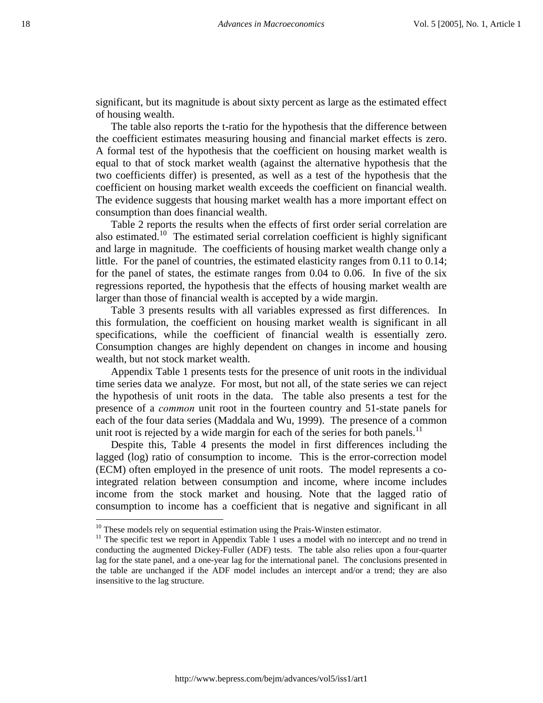significant, but its magnitude is about sixty percent as large as the estimated effect of housing wealth.

The table also reports the t-ratio for the hypothesis that the difference between the coefficient estimates measuring housing and financial market effects is zero. A formal test of the hypothesis that the coefficient on housing market wealth is equal to that of stock market wealth (against the alternative hypothesis that the two coefficients differ) is presented, as well as a test of the hypothesis that the coefficient on housing market wealth exceeds the coefficient on financial wealth. The evidence suggests that housing market wealth has a more important effect on consumption than does financial wealth.

Table 2 reports the results when the effects of first order serial correlation are also estimated.10 The estimated serial correlation coefficient is highly significant and large in magnitude. The coefficients of housing market wealth change only a little. For the panel of countries, the estimated elasticity ranges from 0.11 to 0.14; for the panel of states, the estimate ranges from 0.04 to 0.06. In five of the six regressions reported, the hypothesis that the effects of housing market wealth are larger than those of financial wealth is accepted by a wide margin.

Table 3 presents results with all variables expressed as first differences. In this formulation, the coefficient on housing market wealth is significant in all specifications, while the coefficient of financial wealth is essentially zero. Consumption changes are highly dependent on changes in income and housing wealth, but not stock market wealth.

Appendix Table 1 presents tests for the presence of unit roots in the individual time series data we analyze. For most, but not all, of the state series we can reject the hypothesis of unit roots in the data. The table also presents a test for the presence of a *common* unit root in the fourteen country and 51-state panels for each of the four data series (Maddala and Wu, 1999). The presence of a common unit root is rejected by a wide margin for each of the series for both panels.<sup>11</sup>

Despite this, Table 4 presents the model in first differences including the lagged (log) ratio of consumption to income. This is the error-correction model (ECM) often employed in the presence of unit roots. The model represents a cointegrated relation between consumption and income, where income includes income from the stock market and housing. Note that the lagged ratio of consumption to income has a coefficient that is negative and significant in all

<u>.</u>

 $10$  These models rely on sequential estimation using the Prais-Winsten estimator.

<sup>&</sup>lt;sup>11</sup> The specific test we report in Appendix Table 1 uses a model with no intercept and no trend in conducting the augmented Dickey-Fuller (ADF) tests. The table also relies upon a four-quarter lag for the state panel, and a one-year lag for the international panel. The conclusions presented in the table are unchanged if the ADF model includes an intercept and/or a trend; they are also insensitive to the lag structure.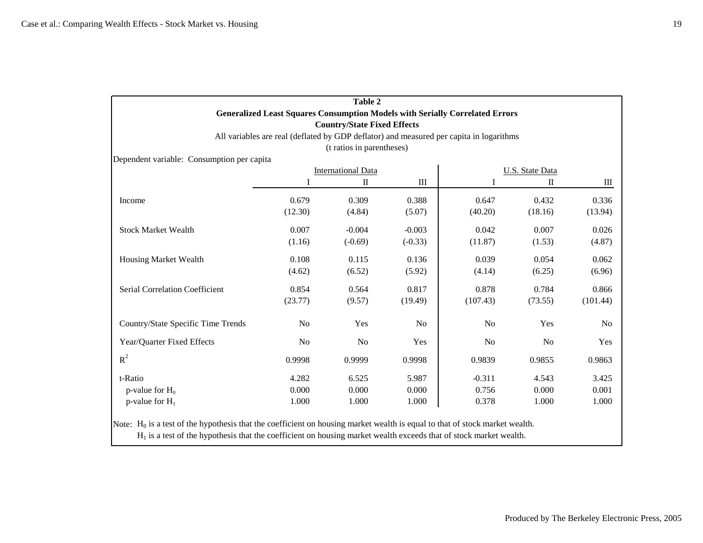|                                            |                | <b>Table 2</b>                     |                |                                                                                         |                 |                |
|--------------------------------------------|----------------|------------------------------------|----------------|-----------------------------------------------------------------------------------------|-----------------|----------------|
|                                            |                |                                    |                | <b>Generalized Least Squares Consumption Models with Serially Correlated Errors</b>     |                 |                |
|                                            |                | <b>Country/State Fixed Effects</b> |                |                                                                                         |                 |                |
|                                            |                |                                    |                | All variables are real (deflated by GDP deflator) and measured per capita in logarithms |                 |                |
| Dependent variable: Consumption per capita |                | (t ratios in parentheses)          |                |                                                                                         |                 |                |
|                                            |                | <b>International Data</b>          |                |                                                                                         | U.S. State Data |                |
|                                            |                | $\mathbf I$                        | Ш              | I                                                                                       | П               | Ш              |
|                                            |                |                                    |                |                                                                                         |                 |                |
| Income                                     | 0.679          | 0.309                              | 0.388          | 0.647                                                                                   | 0.432           | 0.336          |
|                                            | (12.30)        | (4.84)                             | (5.07)         | (40.20)                                                                                 | (18.16)         | (13.94)        |
| <b>Stock Market Wealth</b>                 | 0.007          | $-0.004$                           | $-0.003$       | 0.042                                                                                   | 0.007           | 0.026          |
|                                            | (1.16)         | $(-0.69)$                          | $(-0.33)$      | (11.87)                                                                                 | (1.53)          | (4.87)         |
| Housing Market Wealth                      | 0.108          | 0.115                              | 0.136          | 0.039                                                                                   | 0.054           | 0.062          |
|                                            | (4.62)         | (6.52)                             | (5.92)         | (4.14)                                                                                  | (6.25)          | (6.96)         |
| <b>Serial Correlation Coefficient</b>      | 0.854          | 0.564                              | 0.817          | 0.878                                                                                   | 0.784           | 0.866          |
|                                            | (23.77)        | (9.57)                             | (19.49)        | (107.43)                                                                                | (73.55)         | (101.44)       |
| Country/State Specific Time Trends         | No             | Yes                                | N <sub>0</sub> | N <sub>o</sub>                                                                          | Yes             | N <sub>0</sub> |
| Year/Quarter Fixed Effects                 | N <sub>0</sub> | N <sub>o</sub>                     | Yes            | N <sub>o</sub>                                                                          | N <sub>o</sub>  | Yes            |
| $R^2$                                      | 0.9998         | 0.9999                             | 0.9998         | 0.9839                                                                                  | 0.9855          | 0.9863         |
| t-Ratio                                    | 4.282          | 6.525                              | 5.987          | $-0.311$                                                                                | 4.543           | 3.425          |
| p-value for $H_0$                          | 0.000          | 0.000                              | 0.000          | 0.756                                                                                   | 0.000           | 0.001          |
| p-value for $H_1$                          | 1.000          | 1.000                              | 1.000          | 0.378                                                                                   | 1.000           | 1.000          |

Note:  $H_0$  is a test of the hypothesis that the coefficient on housing market wealth is equal to that of stock market wealth.

 $H<sub>1</sub>$  is a test of the hypothesis that the coefficient on housing market wealth exceeds that of stock market wealth.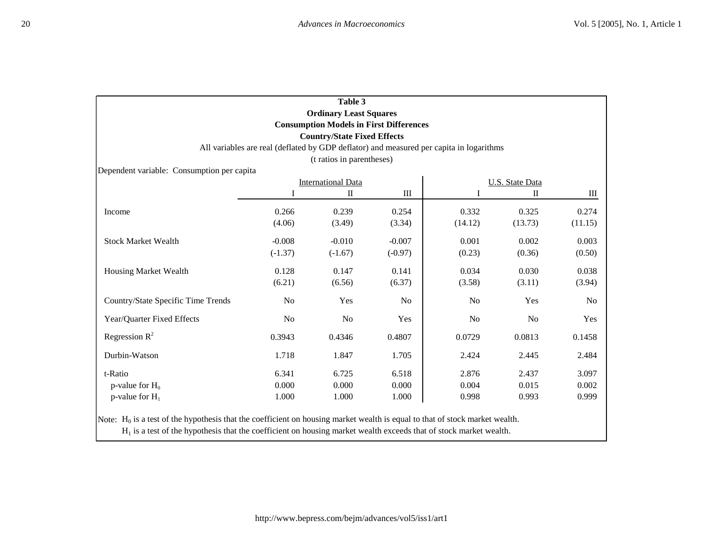|                                            |                       | Table 3<br><b>Ordinary Least Squares</b><br><b>Consumption Models in First Differences</b><br><b>Country/State Fixed Effects</b> |                       | All variables are real (deflated by GDP deflator) and measured per capita in logarithms |                                 |                  |
|--------------------------------------------|-----------------------|----------------------------------------------------------------------------------------------------------------------------------|-----------------------|-----------------------------------------------------------------------------------------|---------------------------------|------------------|
| Dependent variable: Consumption per capita |                       | (t ratios in parentheses)                                                                                                        |                       |                                                                                         |                                 |                  |
|                                            |                       | <b>International Data</b>                                                                                                        |                       |                                                                                         | <b>U.S. State Data</b>          |                  |
|                                            |                       | $\rm _{II}$                                                                                                                      | $\rm III$             |                                                                                         | $\mathop{\mathrm{II}}\nolimits$ | Ш                |
| Income                                     | 0.266<br>(4.06)       | 0.239<br>(3.49)                                                                                                                  | 0.254<br>(3.34)       | 0.332<br>(14.12)                                                                        | 0.325<br>(13.73)                | 0.274<br>(11.15) |
| <b>Stock Market Wealth</b>                 | $-0.008$<br>$(-1.37)$ | $-0.010$<br>$(-1.67)$                                                                                                            | $-0.007$<br>$(-0.97)$ | 0.001<br>(0.23)                                                                         | 0.002<br>(0.36)                 | 0.003<br>(0.50)  |
| <b>Housing Market Wealth</b>               | 0.128<br>(6.21)       | 0.147<br>(6.56)                                                                                                                  | 0.141<br>(6.37)       | 0.034<br>(3.58)                                                                         | 0.030<br>(3.11)                 | 0.038<br>(3.94)  |
| Country/State Specific Time Trends         | No                    | Yes                                                                                                                              | No                    | No                                                                                      | Yes                             | N <sub>o</sub>   |
| Year/Quarter Fixed Effects                 | No                    | No                                                                                                                               | Yes                   | No                                                                                      | No                              | Yes              |
| Regression $R^2$                           | 0.3943                | 0.4346                                                                                                                           | 0.4807                | 0.0729                                                                                  | 0.0813                          | 0.1458           |
| Durbin-Watson                              | 1.718                 | 1.847                                                                                                                            | 1.705                 | 2.424                                                                                   | 2.445                           | 2.484            |
| t-Ratio                                    | 6.341                 | 6.725                                                                                                                            | 6.518                 | 2.876                                                                                   | 2.437                           | 3.097            |
| p-value for $H_0$                          | 0.000                 | 0.000                                                                                                                            | 0.000                 | 0.004                                                                                   | 0.015                           | 0.002            |
| p-value for $H_1$                          | 1.000                 | 1.000                                                                                                                            | 1.000                 | 0.998                                                                                   | 0.993                           | 0.999            |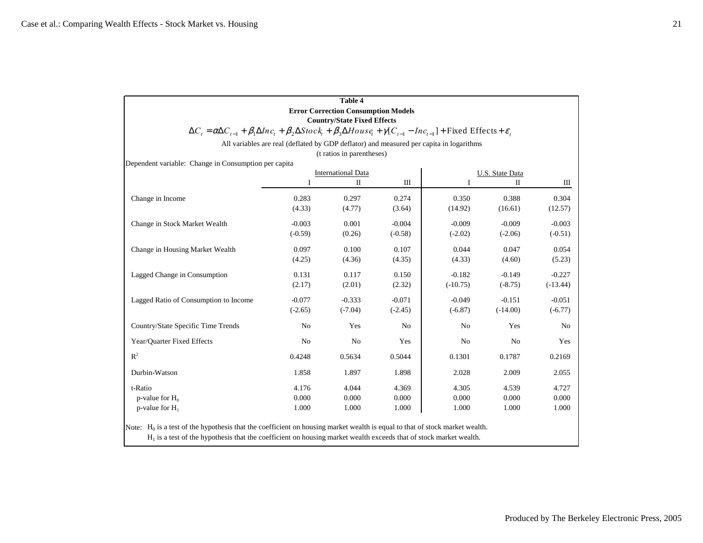|                                                                                                                                                                                                                                                       |                | <b>Table 4</b><br><b>Error Correction Consumption Models</b><br><b>Country/State Fixed Effects</b> |           |                                                                                         |                        |            |
|-------------------------------------------------------------------------------------------------------------------------------------------------------------------------------------------------------------------------------------------------------|----------------|----------------------------------------------------------------------------------------------------|-----------|-----------------------------------------------------------------------------------------|------------------------|------------|
| $\Delta C_i = \alpha \Delta C_{i-1} + \beta_1 \Delta Inc_i + \beta_2 \Delta Stock_i + \beta_3 \Delta House + \gamma [C_{i-1} - Inc_{i-1}] + Fixed Effects + \varepsilon_i$                                                                            |                |                                                                                                    |           |                                                                                         |                        |            |
|                                                                                                                                                                                                                                                       |                |                                                                                                    |           | All variables are real (deflated by GDP deflator) and measured per capita in logarithms |                        |            |
|                                                                                                                                                                                                                                                       |                | (t ratios in parentheses)                                                                          |           |                                                                                         |                        |            |
| Dependent variable: Change in Consumption per capita                                                                                                                                                                                                  |                |                                                                                                    |           |                                                                                         |                        |            |
|                                                                                                                                                                                                                                                       |                | <b>International Data</b>                                                                          |           |                                                                                         | <b>U.S. State Data</b> |            |
|                                                                                                                                                                                                                                                       | I              | $\mathbf I$                                                                                        | Ш         | I                                                                                       | П                      | Ш          |
| Change in Income                                                                                                                                                                                                                                      | 0.283          | 0.297                                                                                              | 0.274     | 0.350                                                                                   | 0.388                  | 0.304      |
|                                                                                                                                                                                                                                                       | (4.33)         | (4.77)                                                                                             | (3.64)    | (14.92)                                                                                 | (16.61)                | (12.57)    |
| Change in Stock Market Wealth                                                                                                                                                                                                                         | $-0.003$       | 0.001                                                                                              | $-0.004$  | $-0.009$                                                                                | $-0.009$               | $-0.003$   |
|                                                                                                                                                                                                                                                       | $(-0.59)$      | (0.26)                                                                                             | $(-0.58)$ | $(-2.02)$                                                                               | $(-2.06)$              | $(-0.51)$  |
| Change in Housing Market Wealth                                                                                                                                                                                                                       | 0.097          | 0.100                                                                                              | 0.107     | 0.044                                                                                   | 0.047                  | 0.054      |
|                                                                                                                                                                                                                                                       | (4.25)         | (4.36)                                                                                             | (4.35)    | (4.33)                                                                                  | (4.60)                 | (5.23)     |
| Lagged Change in Consumption                                                                                                                                                                                                                          | 0.131          | 0.117                                                                                              | 0.150     | $-0.182$                                                                                | $-0.149$               | $-0.227$   |
|                                                                                                                                                                                                                                                       | (2.17)         | (2.01)                                                                                             | (2.32)    | $(-10.75)$                                                                              | $(-8.75)$              | $(-13.44)$ |
| Lagged Ratio of Consumption to Income                                                                                                                                                                                                                 | $-0.077$       | $-0.333$                                                                                           | $-0.071$  | $-0.049$                                                                                | $-0.151$               | $-0.051$   |
|                                                                                                                                                                                                                                                       | $(-2.65)$      | $(-7.04)$                                                                                          | $(-2.45)$ | $(-6.87)$                                                                               | $(-14.00)$             | $(-6.77)$  |
| Country/State Specific Time Trends                                                                                                                                                                                                                    | N <sub>o</sub> | Yes                                                                                                | No        | N <sub>o</sub>                                                                          | Yes                    | No         |
| Year/Quarter Fixed Effects                                                                                                                                                                                                                            | No             | No                                                                                                 | Yes       | No                                                                                      | N <sub>o</sub>         | Yes        |
| $R^2$                                                                                                                                                                                                                                                 | 0.4248         | 0.5634                                                                                             | 0.5044    | 0.1301                                                                                  | 0.1787                 | 0.2169     |
| Durbin-Watson                                                                                                                                                                                                                                         | 1.858          | 1.897                                                                                              | 1.898     | 2.028                                                                                   | 2.009                  | 2.055      |
| t-Ratio                                                                                                                                                                                                                                               | 4.176          | 4.044                                                                                              | 4.369     | 4.305                                                                                   | 4.539                  | 4.727      |
| p-value for $H_0$                                                                                                                                                                                                                                     | 0.000          | 0.000                                                                                              | 0.000     | 0.000                                                                                   | 0.000                  | 0.000      |
| p-value for $H_1$                                                                                                                                                                                                                                     | 1.000          | 1.000                                                                                              | 1.000     | 1.000                                                                                   | 1.000                  | 1.000      |
| Note: $H_0$ is a test of the hypothesis that the coefficient on housing market wealth is equal to that of stock market wealth.<br>$H1$ is a test of the hypothesis that the coefficient on housing market wealth exceeds that of stock market wealth. |                |                                                                                                    |           |                                                                                         |                        |            |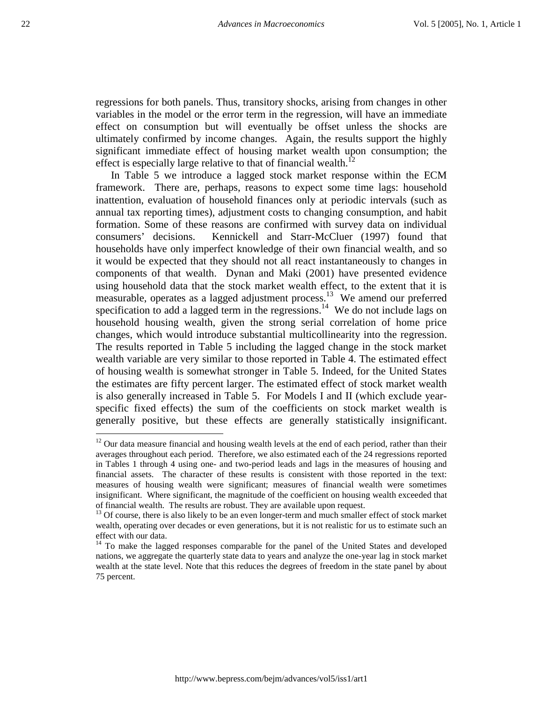regressions for both panels. Thus, transitory shocks, arising from changes in other variables in the model or the error term in the regression, will have an immediate effect on consumption but will eventually be offset unless the shocks are ultimately confirmed by income changes. Again, the results support the highly significant immediate effect of housing market wealth upon consumption; the effect is especially large relative to that of financial wealth.<sup>12</sup>

In Table 5 we introduce a lagged stock market response within the ECM framework. There are, perhaps, reasons to expect some time lags: household inattention, evaluation of household finances only at periodic intervals (such as annual tax reporting times), adjustment costs to changing consumption, and habit formation. Some of these reasons are confirmed with survey data on individual consumers' decisions. Kennickell and Starr-McCluer (1997) found that households have only imperfect knowledge of their own financial wealth, and so it would be expected that they should not all react instantaneously to changes in components of that wealth. Dynan and Maki (2001) have presented evidence using household data that the stock market wealth effect, to the extent that it is measurable, operates as a lagged adjustment process.<sup>13</sup> We amend our preferred specification to add a lagged term in the regressions.<sup>14</sup> We do not include lags on household housing wealth, given the strong serial correlation of home price changes, which would introduce substantial multicollinearity into the regression. The results reported in Table 5 including the lagged change in the stock market wealth variable are very similar to those reported in Table 4. The estimated effect of housing wealth is somewhat stronger in Table 5. Indeed, for the United States the estimates are fifty percent larger. The estimated effect of stock market wealth is also generally increased in Table 5. For Models I and II (which exclude yearspecific fixed effects) the sum of the coefficients on stock market wealth is generally positive, but these effects are generally statistically insignificant.

1

 $12$  Our data measure financial and housing wealth levels at the end of each period, rather than their averages throughout each period. Therefore, we also estimated each of the 24 regressions reported in Tables 1 through 4 using one- and two-period leads and lags in the measures of housing and financial assets. The character of these results is consistent with those reported in the text: measures of housing wealth were significant; measures of financial wealth were sometimes insignificant. Where significant, the magnitude of the coefficient on housing wealth exceeded that of financial wealth. The results are robust. They are available upon request.

<sup>&</sup>lt;sup>13</sup> Of course, there is also likely to be an even longer-term and much smaller effect of stock market wealth, operating over decades or even generations, but it is not realistic for us to estimate such an effect with our data.

<sup>&</sup>lt;sup>14</sup> To make the lagged responses comparable for the panel of the United States and developed nations, we aggregate the quarterly state data to years and analyze the one-year lag in stock market wealth at the state level. Note that this reduces the degrees of freedom in the state panel by about 75 percent.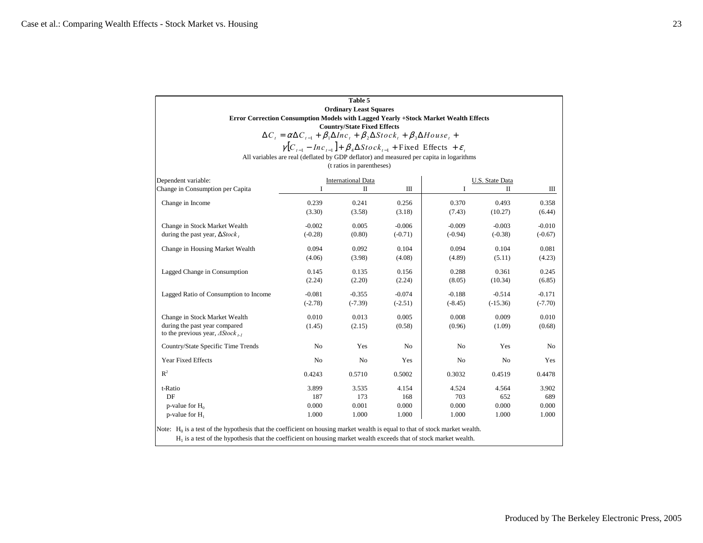| $\gamma[C_{t-1} - Inc_{t-1}] + \beta_4 \Delta Stock_{t-1} + Fixed Effects + \varepsilon_t$<br>All variables are real (deflated by GDP deflator) and measured per capita in logarithms<br>Ш<br>0.256<br>(3.18)<br>$-0.006$<br>$(-0.71)$ | I<br>0.370<br>(7.43)<br>$-0.009$ | U.S. State Data<br>П<br>0.493<br>(10.27)                                                                                                                                                                                                                                               | Ш<br>0.358 |
|----------------------------------------------------------------------------------------------------------------------------------------------------------------------------------------------------------------------------------------|----------------------------------|----------------------------------------------------------------------------------------------------------------------------------------------------------------------------------------------------------------------------------------------------------------------------------------|------------|
|                                                                                                                                                                                                                                        |                                  |                                                                                                                                                                                                                                                                                        |            |
|                                                                                                                                                                                                                                        |                                  |                                                                                                                                                                                                                                                                                        |            |
|                                                                                                                                                                                                                                        |                                  |                                                                                                                                                                                                                                                                                        |            |
|                                                                                                                                                                                                                                        |                                  |                                                                                                                                                                                                                                                                                        |            |
|                                                                                                                                                                                                                                        |                                  |                                                                                                                                                                                                                                                                                        |            |
|                                                                                                                                                                                                                                        |                                  |                                                                                                                                                                                                                                                                                        | (6.44)     |
|                                                                                                                                                                                                                                        |                                  | $-0.003$                                                                                                                                                                                                                                                                               | $-0.010$   |
|                                                                                                                                                                                                                                        | $(-0.94)$                        | $(-0.38)$                                                                                                                                                                                                                                                                              | $(-0.67)$  |
| 0.104                                                                                                                                                                                                                                  | 0.094                            | 0.104                                                                                                                                                                                                                                                                                  | 0.081      |
| (4.08)                                                                                                                                                                                                                                 | (4.89)                           | (5.11)                                                                                                                                                                                                                                                                                 | (4.23)     |
| 0.156                                                                                                                                                                                                                                  | 0.288                            | 0.361                                                                                                                                                                                                                                                                                  | 0.245      |
| (2.24)                                                                                                                                                                                                                                 | (8.05)                           | (10.34)                                                                                                                                                                                                                                                                                | (6.85)     |
| $-0.074$                                                                                                                                                                                                                               | $-0.188$                         | $-0.514$                                                                                                                                                                                                                                                                               | $-0.171$   |
| $(-2.51)$                                                                                                                                                                                                                              |                                  | $(-15.36)$                                                                                                                                                                                                                                                                             | $(-7.70)$  |
| 0.005                                                                                                                                                                                                                                  | 0.008                            | 0.009                                                                                                                                                                                                                                                                                  | 0.010      |
| (0.58)                                                                                                                                                                                                                                 | (0.96)                           | (1.09)                                                                                                                                                                                                                                                                                 | (0.68)     |
| No                                                                                                                                                                                                                                     | No                               | Yes                                                                                                                                                                                                                                                                                    | No         |
| Yes                                                                                                                                                                                                                                    | No                               | No                                                                                                                                                                                                                                                                                     | Yes        |
| 0.5002                                                                                                                                                                                                                                 |                                  | 0.4519                                                                                                                                                                                                                                                                                 | 0.4478     |
| 4.154                                                                                                                                                                                                                                  | 4.524                            | 4.564                                                                                                                                                                                                                                                                                  | 3.902      |
| 168                                                                                                                                                                                                                                    | 703                              | 652                                                                                                                                                                                                                                                                                    | 689        |
| 0.000                                                                                                                                                                                                                                  | 0.000                            | 0.000                                                                                                                                                                                                                                                                                  | 0.000      |
| 1.000                                                                                                                                                                                                                                  | 1.000                            | 1.000                                                                                                                                                                                                                                                                                  | 1.000      |
|                                                                                                                                                                                                                                        |                                  | $(-8.45)$<br>0.3032<br>Note: $H_0$ is a test of the hypothesis that the coefficient on housing market wealth is equal to that of stock market wealth.<br>H <sub>1</sub> is a test of the hypothesis that the coefficient on housing market wealth exceeds that of stock market wealth. |            |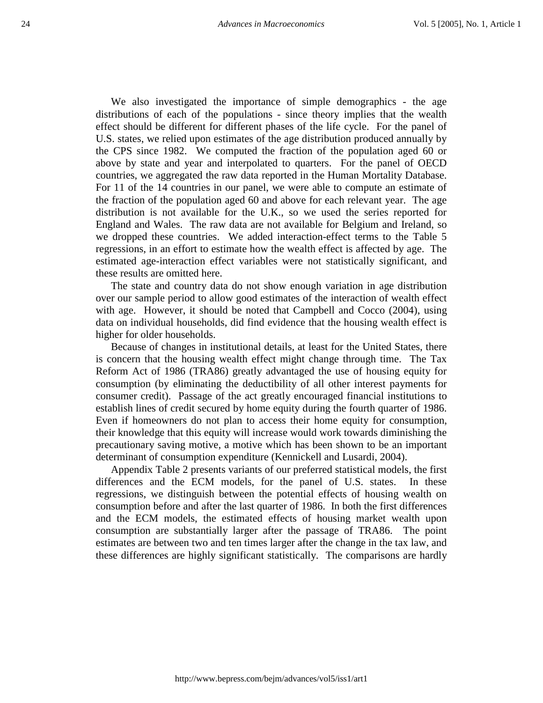We also investigated the importance of simple demographics - the age distributions of each of the populations - since theory implies that the wealth effect should be different for different phases of the life cycle. For the panel of U.S. states, we relied upon estimates of the age distribution produced annually by the CPS since 1982. We computed the fraction of the population aged 60 or above by state and year and interpolated to quarters. For the panel of OECD countries, we aggregated the raw data reported in the Human Mortality Database. For 11 of the 14 countries in our panel, we were able to compute an estimate of the fraction of the population aged 60 and above for each relevant year. The age distribution is not available for the U.K., so we used the series reported for England and Wales. The raw data are not available for Belgium and Ireland, so we dropped these countries. We added interaction-effect terms to the Table 5 regressions, in an effort to estimate how the wealth effect is affected by age. The estimated age-interaction effect variables were not statistically significant, and these results are omitted here.

The state and country data do not show enough variation in age distribution over our sample period to allow good estimates of the interaction of wealth effect with age. However, it should be noted that Campbell and Cocco (2004), using data on individual households, did find evidence that the housing wealth effect is higher for older households.

Because of changes in institutional details, at least for the United States, there is concern that the housing wealth effect might change through time. The Tax Reform Act of 1986 (TRA86) greatly advantaged the use of housing equity for consumption (by eliminating the deductibility of all other interest payments for consumer credit). Passage of the act greatly encouraged financial institutions to establish lines of credit secured by home equity during the fourth quarter of 1986. Even if homeowners do not plan to access their home equity for consumption, their knowledge that this equity will increase would work towards diminishing the precautionary saving motive, a motive which has been shown to be an important determinant of consumption expenditure (Kennickell and Lusardi, 2004).

Appendix Table 2 presents variants of our preferred statistical models, the first differences and the ECM models, for the panel of U.S. states. In these regressions, we distinguish between the potential effects of housing wealth on consumption before and after the last quarter of 1986. In both the first differences and the ECM models, the estimated effects of housing market wealth upon consumption are substantially larger after the passage of TRA86. The point estimates are between two and ten times larger after the change in the tax law, and these differences are highly significant statistically. The comparisons are hardly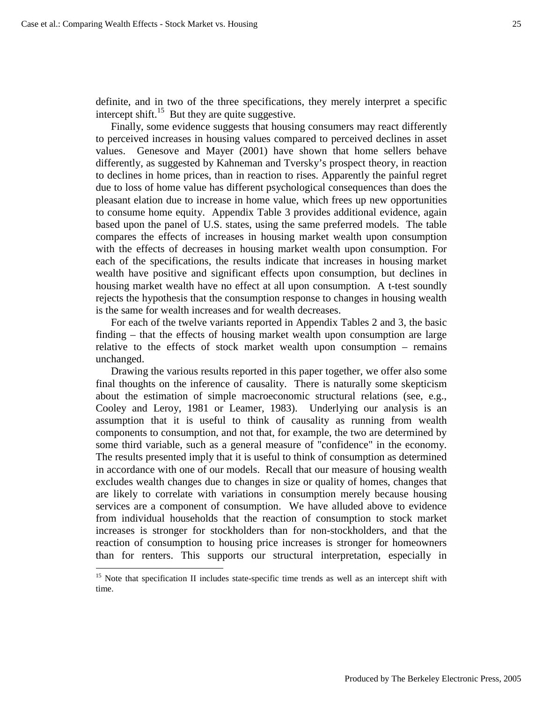$\overline{\phantom{a}}$ 

definite, and in two of the three specifications, they merely interpret a specific intercept shift.<sup>15</sup> But they are quite suggestive.

Finally, some evidence suggests that housing consumers may react differently to perceived increases in housing values compared to perceived declines in asset values. Genesove and Mayer (2001) have shown that home sellers behave differently, as suggested by Kahneman and Tversky's prospect theory, in reaction to declines in home prices, than in reaction to rises. Apparently the painful regret due to loss of home value has different psychological consequences than does the pleasant elation due to increase in home value, which frees up new opportunities to consume home equity. Appendix Table 3 provides additional evidence, again based upon the panel of U.S. states, using the same preferred models. The table compares the effects of increases in housing market wealth upon consumption with the effects of decreases in housing market wealth upon consumption. For each of the specifications, the results indicate that increases in housing market wealth have positive and significant effects upon consumption, but declines in housing market wealth have no effect at all upon consumption. A t-test soundly rejects the hypothesis that the consumption response to changes in housing wealth is the same for wealth increases and for wealth decreases.

For each of the twelve variants reported in Appendix Tables 2 and 3, the basic finding – that the effects of housing market wealth upon consumption are large relative to the effects of stock market wealth upon consumption – remains unchanged.

Drawing the various results reported in this paper together, we offer also some final thoughts on the inference of causality. There is naturally some skepticism about the estimation of simple macroeconomic structural relations (see, e.g., Cooley and Leroy, 1981 or Leamer, 1983). Underlying our analysis is an assumption that it is useful to think of causality as running from wealth components to consumption, and not that, for example, the two are determined by some third variable, such as a general measure of "confidence" in the economy. The results presented imply that it is useful to think of consumption as determined in accordance with one of our models. Recall that our measure of housing wealth excludes wealth changes due to changes in size or quality of homes, changes that are likely to correlate with variations in consumption merely because housing services are a component of consumption. We have alluded above to evidence from individual households that the reaction of consumption to stock market increases is stronger for stockholders than for non-stockholders, and that the reaction of consumption to housing price increases is stronger for homeowners than for renters. This supports our structural interpretation, especially in

<sup>&</sup>lt;sup>15</sup> Note that specification II includes state-specific time trends as well as an intercept shift with time.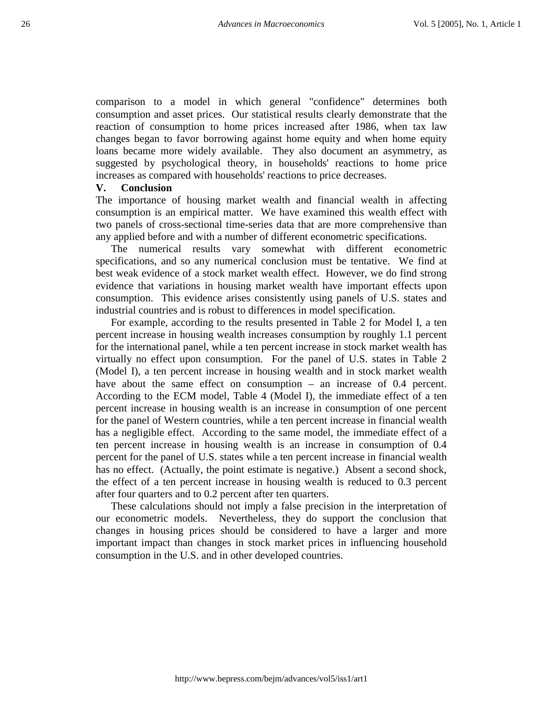comparison to a model in which general "confidence" determines both consumption and asset prices. Our statistical results clearly demonstrate that the reaction of consumption to home prices increased after 1986, when tax law changes began to favor borrowing against home equity and when home equity loans became more widely available. They also document an asymmetry, as suggested by psychological theory, in households' reactions to home price increases as compared with households' reactions to price decreases.

#### **V. Conclusion**

The importance of housing market wealth and financial wealth in affecting consumption is an empirical matter. We have examined this wealth effect with two panels of cross-sectional time-series data that are more comprehensive than any applied before and with a number of different econometric specifications.

The numerical results vary somewhat with different econometric specifications, and so any numerical conclusion must be tentative. We find at best weak evidence of a stock market wealth effect. However, we do find strong evidence that variations in housing market wealth have important effects upon consumption. This evidence arises consistently using panels of U.S. states and industrial countries and is robust to differences in model specification.

For example, according to the results presented in Table 2 for Model I, a ten percent increase in housing wealth increases consumption by roughly 1.1 percent for the international panel, while a ten percent increase in stock market wealth has virtually no effect upon consumption. For the panel of U.S. states in Table 2 (Model I), a ten percent increase in housing wealth and in stock market wealth have about the same effect on consumption – an increase of 0.4 percent. According to the ECM model, Table 4 (Model I), the immediate effect of a ten percent increase in housing wealth is an increase in consumption of one percent for the panel of Western countries, while a ten percent increase in financial wealth has a negligible effect. According to the same model, the immediate effect of a ten percent increase in housing wealth is an increase in consumption of 0.4 percent for the panel of U.S. states while a ten percent increase in financial wealth has no effect. (Actually, the point estimate is negative.) Absent a second shock, the effect of a ten percent increase in housing wealth is reduced to 0.3 percent after four quarters and to 0.2 percent after ten quarters.

These calculations should not imply a false precision in the interpretation of our econometric models. Nevertheless, they do support the conclusion that changes in housing prices should be considered to have a larger and more important impact than changes in stock market prices in influencing household consumption in the U.S. and in other developed countries.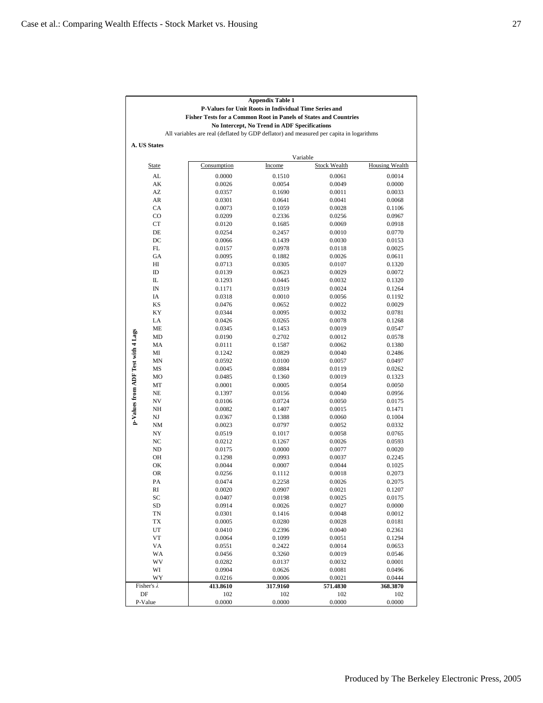|                                    | <b>Appendix Table 1</b>                                                                                                                                                                                            |                  |                  |                     |                       |  |  |  |  |  |  |  |  |
|------------------------------------|--------------------------------------------------------------------------------------------------------------------------------------------------------------------------------------------------------------------|------------------|------------------|---------------------|-----------------------|--|--|--|--|--|--|--|--|
|                                    | P-Values for Unit Roots in Individual Time Series and                                                                                                                                                              |                  |                  |                     |                       |  |  |  |  |  |  |  |  |
|                                    | <b>Fisher Tests for a Common Root in Panels of States and Countries</b><br>No Intercept, No Trend in ADF Specifications<br>All variables are real (deflated by GDP deflator) and measured per capita in logarithms |                  |                  |                     |                       |  |  |  |  |  |  |  |  |
|                                    |                                                                                                                                                                                                                    |                  |                  |                     |                       |  |  |  |  |  |  |  |  |
|                                    |                                                                                                                                                                                                                    |                  |                  |                     |                       |  |  |  |  |  |  |  |  |
|                                    | A. US States                                                                                                                                                                                                       |                  |                  |                     |                       |  |  |  |  |  |  |  |  |
|                                    |                                                                                                                                                                                                                    |                  |                  |                     |                       |  |  |  |  |  |  |  |  |
|                                    |                                                                                                                                                                                                                    |                  |                  | Variable            |                       |  |  |  |  |  |  |  |  |
|                                    | <b>State</b>                                                                                                                                                                                                       | Consumption      | Income           | <b>Stock Wealth</b> | <b>Housing Wealth</b> |  |  |  |  |  |  |  |  |
|                                    | AL                                                                                                                                                                                                                 | 0.0000           | 0.1510           | 0.0061              | 0.0014                |  |  |  |  |  |  |  |  |
|                                    | AK                                                                                                                                                                                                                 | 0.0026           | 0.0054           | 0.0049              | 0.0000                |  |  |  |  |  |  |  |  |
|                                    | AZ                                                                                                                                                                                                                 | 0.0357           | 0.1690           | 0.0011              | 0.0033                |  |  |  |  |  |  |  |  |
|                                    | AR                                                                                                                                                                                                                 | 0.0301           | 0.0641           | 0.0041              | 0.0068                |  |  |  |  |  |  |  |  |
|                                    | CA                                                                                                                                                                                                                 | 0.0073           | 0.1059           | 0.0028              | 0.1106                |  |  |  |  |  |  |  |  |
|                                    | $_{\rm CO}$                                                                                                                                                                                                        | 0.0209           | 0.2336           | 0.0256              | 0.0967                |  |  |  |  |  |  |  |  |
|                                    | CT                                                                                                                                                                                                                 | 0.0120           | 0.1685           | 0.0069              | 0.0918                |  |  |  |  |  |  |  |  |
|                                    | DE                                                                                                                                                                                                                 | 0.0254           | 0.2457           | 0.0010              | 0.0770                |  |  |  |  |  |  |  |  |
|                                    | DC<br>FL                                                                                                                                                                                                           | 0.0066           | 0.1439           | 0.0030              | 0.0153                |  |  |  |  |  |  |  |  |
|                                    | GA                                                                                                                                                                                                                 | 0.0157           | 0.0978           | 0.0118              | 0.0025                |  |  |  |  |  |  |  |  |
|                                    |                                                                                                                                                                                                                    | 0.0095           | 0.1882           | 0.0026              | 0.0611                |  |  |  |  |  |  |  |  |
|                                    | HI<br>ID                                                                                                                                                                                                           | 0.0713<br>0.0139 | 0.0305<br>0.0623 | 0.0107<br>0.0029    | 0.1320<br>0.0072      |  |  |  |  |  |  |  |  |
|                                    | IL                                                                                                                                                                                                                 | 0.1293           | 0.0445           | 0.0032              | 0.1320                |  |  |  |  |  |  |  |  |
|                                    | IN                                                                                                                                                                                                                 | 0.1171           | 0.0319           | 0.0024              | 0.1264                |  |  |  |  |  |  |  |  |
|                                    | IA                                                                                                                                                                                                                 | 0.0318           | 0.0010           | 0.0056              | 0.1192                |  |  |  |  |  |  |  |  |
|                                    | <b>KS</b>                                                                                                                                                                                                          | 0.0476           | 0.0652           | 0.0022              | 0.0029                |  |  |  |  |  |  |  |  |
|                                    | KY                                                                                                                                                                                                                 | 0.0344           | 0.0095           | 0.0032              | 0.0781                |  |  |  |  |  |  |  |  |
|                                    | LA                                                                                                                                                                                                                 | 0.0426           | 0.0265           | 0.0078              | 0.1268                |  |  |  |  |  |  |  |  |
|                                    | <b>ME</b>                                                                                                                                                                                                          | 0.0345           | 0.1453           | 0.0019              | 0.0547                |  |  |  |  |  |  |  |  |
|                                    | MD                                                                                                                                                                                                                 | 0.0190           | 0.2702           | 0.0012              | 0.0578                |  |  |  |  |  |  |  |  |
|                                    | MA                                                                                                                                                                                                                 | 0.0111           | 0.1587           | 0.0062              | 0.1380                |  |  |  |  |  |  |  |  |
|                                    | МI                                                                                                                                                                                                                 | 0.1242           | 0.0829           | 0.0040              | 0.2486                |  |  |  |  |  |  |  |  |
| p-Values from ADF Test with 4 Lags | MN                                                                                                                                                                                                                 | 0.0592           | 0.0100           | 0.0057              | 0.0497                |  |  |  |  |  |  |  |  |
|                                    | MS                                                                                                                                                                                                                 | 0.0045           | 0.0884           | 0.0119              | 0.0262                |  |  |  |  |  |  |  |  |
|                                    | MO                                                                                                                                                                                                                 | 0.0485           | 0.1360           | 0.0019              | 0.1323                |  |  |  |  |  |  |  |  |
|                                    | MT                                                                                                                                                                                                                 | 0.0001           | 0.0005           | 0.0054              | 0.0050                |  |  |  |  |  |  |  |  |
|                                    | <b>NE</b>                                                                                                                                                                                                          | 0.1397           | 0.0156           | 0.0040              | 0.0956                |  |  |  |  |  |  |  |  |
|                                    | NV                                                                                                                                                                                                                 | 0.0106           | 0.0724           | 0.0050              | 0.0175                |  |  |  |  |  |  |  |  |
|                                    | NH                                                                                                                                                                                                                 | 0.0082           | 0.1407           | 0.0015              | 0.1471                |  |  |  |  |  |  |  |  |
|                                    | NJ                                                                                                                                                                                                                 | 0.0367           | 0.1388           | 0.0060              | 0.1004                |  |  |  |  |  |  |  |  |
|                                    | NM                                                                                                                                                                                                                 | 0.0023           | 0.0797           | 0.0052              | 0.0332                |  |  |  |  |  |  |  |  |
|                                    | NY                                                                                                                                                                                                                 | 0.0519           | 0.1017           | 0.0058              | 0.0765                |  |  |  |  |  |  |  |  |
|                                    | NC                                                                                                                                                                                                                 | 0.0212           | 0.1267           | 0.0026              | 0.0593                |  |  |  |  |  |  |  |  |
|                                    | ND                                                                                                                                                                                                                 | 0.0175           | 0.0000           | 0.0077              | 0.0020                |  |  |  |  |  |  |  |  |
|                                    | OH                                                                                                                                                                                                                 | 0.1298           | 0.0993           | 0.0037              | 0.2245                |  |  |  |  |  |  |  |  |
|                                    | OK                                                                                                                                                                                                                 | 0.0044           | 0.0007           | 0.0044              | 0.1025                |  |  |  |  |  |  |  |  |
|                                    | <b>OR</b>                                                                                                                                                                                                          | 0.0256           | 0.1112           | 0.0018              | 0.2073                |  |  |  |  |  |  |  |  |
|                                    | PA                                                                                                                                                                                                                 | 0.0474           | 0.2258           | 0.0026              | 0.2075                |  |  |  |  |  |  |  |  |
|                                    | RI                                                                                                                                                                                                                 | 0.0020           | 0.0907           | 0.0021              | 0.1207                |  |  |  |  |  |  |  |  |
|                                    | SC<br>SD                                                                                                                                                                                                           | 0.0407<br>0.0914 | 0.0198<br>0.0026 | 0.0025<br>0.0027    | 0.0175<br>0.0000      |  |  |  |  |  |  |  |  |
|                                    | TN                                                                                                                                                                                                                 | 0.0301           | 0.1416           | 0.0048              | 0.0012                |  |  |  |  |  |  |  |  |
|                                    | TX                                                                                                                                                                                                                 | 0.0005           | 0.0280           | 0.0028              | 0.0181                |  |  |  |  |  |  |  |  |
|                                    | UT                                                                                                                                                                                                                 | 0.0410           | 0.2396           | 0.0040              | 0.2361                |  |  |  |  |  |  |  |  |
|                                    | VT                                                                                                                                                                                                                 | 0.0064           | 0.1099           | 0.0051              | 0.1294                |  |  |  |  |  |  |  |  |
|                                    | VA                                                                                                                                                                                                                 | 0.0551           | 0.2422           | 0.0014              | 0.0653                |  |  |  |  |  |  |  |  |
|                                    | WA                                                                                                                                                                                                                 | 0.0456           | 0.3260           | 0.0019              | 0.0546                |  |  |  |  |  |  |  |  |
|                                    | WV                                                                                                                                                                                                                 | 0.0282           | 0.0137           | 0.0032              | 0.0001                |  |  |  |  |  |  |  |  |
|                                    | WI                                                                                                                                                                                                                 | 0.0904           | 0.0626           | 0.0081              | 0.0496                |  |  |  |  |  |  |  |  |
|                                    | WY                                                                                                                                                                                                                 | 0.0216           | 0.0006           | 0.0021              | 0.0444                |  |  |  |  |  |  |  |  |
|                                    | Fisher's $\lambda$                                                                                                                                                                                                 | 413.8610         | 317.9160         | 571.4830            | 368.3870              |  |  |  |  |  |  |  |  |
|                                    | DF                                                                                                                                                                                                                 | 102              | 102              | 102                 | 102                   |  |  |  |  |  |  |  |  |
|                                    | P-Value                                                                                                                                                                                                            | 0.0000           | 0.0000           | 0.0000              | 0.0000                |  |  |  |  |  |  |  |  |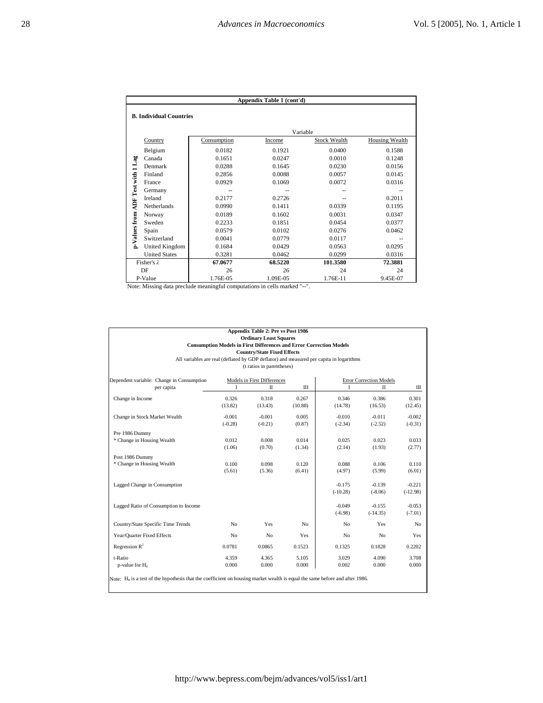|                 | Appendix Table 1 (cont'd)      |                                                                           |          |                     |                |  |  |  |  |  |
|-----------------|--------------------------------|---------------------------------------------------------------------------|----------|---------------------|----------------|--|--|--|--|--|
|                 | <b>B. Individual Countries</b> |                                                                           |          |                     |                |  |  |  |  |  |
|                 |                                |                                                                           |          | Variable            |                |  |  |  |  |  |
|                 | Country                        | Consumption                                                               | Income   | <b>Stock Wealth</b> | Housing Wealth |  |  |  |  |  |
|                 | Belgium                        | 0.0182                                                                    | 0.1921   | 0.0400              | 0.1588         |  |  |  |  |  |
|                 | Canada                         | 0.1651                                                                    | 0.0247   | 0.0010              | 0.1248         |  |  |  |  |  |
| Test with 1 Lag | Denmark                        | 0.0288                                                                    | 0.1645   | 0.0230              | 0.0156         |  |  |  |  |  |
|                 | Finland                        | 0.2856                                                                    | 0.0088   | 0.0057              | 0.0145         |  |  |  |  |  |
|                 | France                         | 0.0929                                                                    | 0.1069   | 0.0072              | 0.0316         |  |  |  |  |  |
|                 | Germany                        |                                                                           |          |                     |                |  |  |  |  |  |
|                 | Ireland                        | 0.2177                                                                    | 0.2726   |                     | 0.2011         |  |  |  |  |  |
| <b>ADF</b>      | Netherlands                    | 0.0990                                                                    | 0.1411   | 0.0339              | 0.1195         |  |  |  |  |  |
|                 | Norway                         | 0.0189                                                                    | 0.1602   | 0.0031              | 0.0347         |  |  |  |  |  |
|                 | Sweden                         | 0.2233                                                                    | 0.1851   | 0.0454              | 0.0377         |  |  |  |  |  |
|                 | Spain                          | 0.0579                                                                    | 0.0102   | 0.0276              | 0.0462         |  |  |  |  |  |
| p-Values from   | Switzerland                    | 0.0041                                                                    | 0.0779   | 0.0117              |                |  |  |  |  |  |
|                 | United Kingdom                 | 0.1684                                                                    | 0.0429   | 0.0563              | 0.0295         |  |  |  |  |  |
|                 | <b>United States</b>           | 0.3281                                                                    | 0.0462   | 0.0299              | 0.0316         |  |  |  |  |  |
|                 | Fisher's $\lambda$             | 67.0677                                                                   | 68.5220  | 101.3580            | 72.3881        |  |  |  |  |  |
|                 | DF                             | 26                                                                        | 26       | 24                  | 24             |  |  |  |  |  |
|                 | P-Value                        | 1.76E-05                                                                  | 1.09E-05 | 1.76E-11            | 9.45E-07       |  |  |  |  |  |
|                 |                                | Note: Missing data preclude meaningful computations in cells marked "--". |          |                     |                |  |  |  |  |  |

| Appendix Table 2: Pre vs Post 1986<br><b>Ordinary Least Squares</b><br><b>Consumption Models in First Differences and Error Correction Models</b><br><b>Country/State Fixed Effects</b><br>All variables are real (deflated by GDP deflator) and measured per capita in logarithms<br>(t ratios in parentheses) |                       |                             |                  |                       |                                |                       |  |  |  |  |
|-----------------------------------------------------------------------------------------------------------------------------------------------------------------------------------------------------------------------------------------------------------------------------------------------------------------|-----------------------|-----------------------------|------------------|-----------------------|--------------------------------|-----------------------|--|--|--|--|
| Dependent variable: Change in Consumption                                                                                                                                                                                                                                                                       |                       | Models in First Differences |                  |                       | <b>Error Correction Models</b> |                       |  |  |  |  |
| per capita                                                                                                                                                                                                                                                                                                      | I                     | П                           | Ш                | I                     | П                              | Ш                     |  |  |  |  |
| Change in Income                                                                                                                                                                                                                                                                                                | 0.326<br>(13.82)      | 0.318<br>(13.43)            | 0.267<br>(10.88) | 0.346<br>(14.78)      | 0.386<br>(16.53)               | 0.301<br>(12.45)      |  |  |  |  |
| Change in Stock Market Wealth                                                                                                                                                                                                                                                                                   | $-0.001$<br>$(-0.28)$ | $-0.001$<br>$(-0.21)$       | 0.005<br>(0.87)  | $-0.010$<br>$(-2.34)$ | $-0.011$<br>$(-2.52)$          | $-0.002$<br>$(-0.31)$ |  |  |  |  |
| Pre 1986 Dummy                                                                                                                                                                                                                                                                                                  |                       |                             |                  |                       |                                |                       |  |  |  |  |
| * Change in Housing Wealth                                                                                                                                                                                                                                                                                      | 0.012                 | 0.008                       | 0.014            | 0.025                 | 0.023                          | 0.033                 |  |  |  |  |
|                                                                                                                                                                                                                                                                                                                 | (1.06)                | (0.70)                      | (1.34)           | (2.14)                | (1.93)                         | (2.77)                |  |  |  |  |
| Post 1986 Dummy                                                                                                                                                                                                                                                                                                 |                       |                             |                  |                       |                                |                       |  |  |  |  |
| * Change in Housing Wealth                                                                                                                                                                                                                                                                                      | 0.100                 | 0.098                       | 0.120            | 0.088                 | 0.106                          | 0.110                 |  |  |  |  |
|                                                                                                                                                                                                                                                                                                                 | (5.61)                | (5.36)                      | (6.41)           | (4.97)                | (5.99)                         | (6.01)                |  |  |  |  |
| Lagged Change in Consumption                                                                                                                                                                                                                                                                                    |                       |                             |                  | $-0.175$              | $-0.139$                       | $-0.221$              |  |  |  |  |
|                                                                                                                                                                                                                                                                                                                 |                       |                             |                  | $(-10.28)$            | $(-8.06)$                      | $(-12.98)$            |  |  |  |  |
| Lagged Ratio of Consumption to Income                                                                                                                                                                                                                                                                           |                       |                             |                  | $-0.049$              | $-0.155$                       | $-0.053$              |  |  |  |  |
|                                                                                                                                                                                                                                                                                                                 |                       |                             |                  | $(-6.98)$             | $(-14.35)$                     | $(-7.01)$             |  |  |  |  |
| Country/State Specific Time Trends                                                                                                                                                                                                                                                                              | N <sub>o</sub>        | Yes                         | No               | No                    | Yes                            | N <sub>o</sub>        |  |  |  |  |
| Year/Quarter Fixed Effects                                                                                                                                                                                                                                                                                      | N <sub>0</sub>        | N <sub>o</sub>              | Yes              | No                    | No                             | <b>Yes</b>            |  |  |  |  |
| Regression $R^2$                                                                                                                                                                                                                                                                                                | 0.0781                | 0.0865                      | 0.1523           | 0.1325                | 0.1828                         | 0.2202                |  |  |  |  |
| t-Ratio                                                                                                                                                                                                                                                                                                         | 4.359                 | 4.365                       | 5.105            | 3.029                 | 4.090                          | 3.708                 |  |  |  |  |
| p-value for $H_0$                                                                                                                                                                                                                                                                                               | 0.000                 | 0.000                       | 0.000            | 0.002                 | 0.000                          | 0.000                 |  |  |  |  |
| Note: $H_0$ is a test of the hypothesis that the coefficient on housing market wealth is equal the same before and after 1986.                                                                                                                                                                                  |                       |                             |                  |                       |                                |                       |  |  |  |  |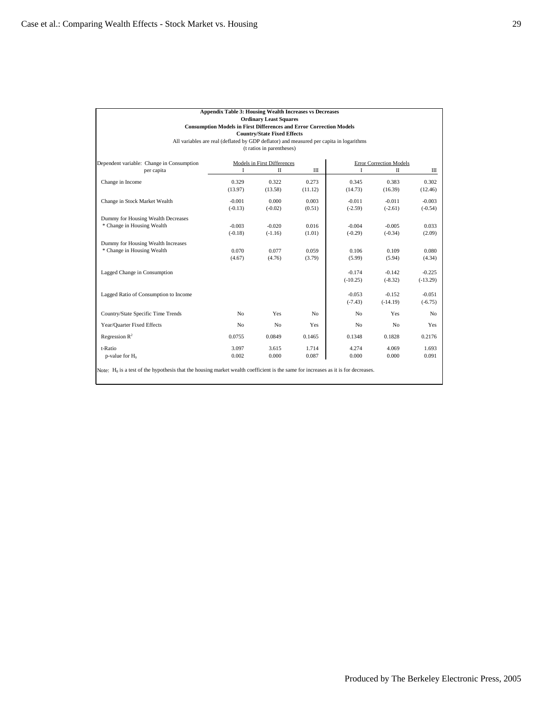|                                           | <b>Appendix Table 3: Housing Wealth Increases vs Decreases</b>                          |                                    |                |                |                                |            |
|-------------------------------------------|-----------------------------------------------------------------------------------------|------------------------------------|----------------|----------------|--------------------------------|------------|
|                                           |                                                                                         | <b>Ordinary Least Squares</b>      |                |                |                                |            |
|                                           | <b>Consumption Models in First Differences and Error Correction Models</b>              |                                    |                |                |                                |            |
|                                           |                                                                                         | <b>Country/State Fixed Effects</b> |                |                |                                |            |
|                                           | All variables are real (deflated by GDP deflator) and measured per capita in logarithms |                                    |                |                |                                |            |
|                                           |                                                                                         | (t ratios in parentheses)          |                |                |                                |            |
| Dependent variable: Change in Consumption |                                                                                         | Models in First Differences        |                |                | <b>Error Correction Models</b> |            |
| per capita                                | I                                                                                       | $\mathbf{I}$                       | Ш              | I              | $\rm II$                       | Ш          |
| Change in Income                          | 0.329                                                                                   | 0.322                              | 0.273          | 0.345          | 0.383                          | 0.302      |
|                                           | (13.97)                                                                                 | (13.58)                            | (11.12)        | (14.73)        | (16.39)                        | (12.46)    |
| Change in Stock Market Wealth             | $-0.001$                                                                                | 0.000                              | 0.003          | $-0.011$       | $-0.011$                       | $-0.003$   |
|                                           | $(-0.13)$                                                                               | $(-0.02)$                          | (0.51)         | $(-2.59)$      | $(-2.61)$                      | $(-0.54)$  |
| Dummy for Housing Wealth Decreases        |                                                                                         |                                    |                |                |                                |            |
| * Change in Housing Wealth                | $-0.003$                                                                                | $-0.020$                           | 0.016          | $-0.004$       | $-0.005$                       | 0.033      |
|                                           | $(-0.18)$                                                                               | $(-1.16)$                          | (1.01)         | $(-0.29)$      | $(-0.34)$                      | (2.09)     |
| Dummy for Housing Wealth Increases        |                                                                                         |                                    |                |                |                                |            |
| * Change in Housing Wealth                | 0.070                                                                                   | 0.077                              | 0.059          | 0.106          | 0.109                          | 0.080      |
|                                           | (4.67)                                                                                  | (4.76)                             | (3.79)         | (5.99)         | (5.94)                         | (4.34)     |
| Lagged Change in Consumption              |                                                                                         |                                    |                | $-0.174$       | $-0.142$                       | $-0.225$   |
|                                           |                                                                                         |                                    |                | $(-10.25)$     | $(-8.32)$                      | $(-13.29)$ |
| Lagged Ratio of Consumption to Income     |                                                                                         |                                    |                | $-0.053$       | $-0.152$                       | $-0.051$   |
|                                           |                                                                                         |                                    |                | $(-7.43)$      | $(-14.19)$                     | $(-6.75)$  |
| Country/State Specific Time Trends        | N <sub>o</sub>                                                                          | Yes                                | N <sub>o</sub> | N <sub>o</sub> | Yes                            | No         |
| Year/Quarter Fixed Effects                | N <sub>o</sub>                                                                          | N <sub>o</sub>                     | Yes            | N <sub>o</sub> | N <sub>o</sub>                 | Yes        |
| Regression $R^2$                          | 0.0755                                                                                  | 0.0849                             | 0.1465         | 0.1348         | 0.1828                         | 0.2176     |
| t-Ratio                                   | 3.097                                                                                   | 3.615                              | 1.714          | 4.274          | 4.069                          | 1.693      |
| p-value for $H_0$                         | 0.002                                                                                   | 0.000                              | 0.087          | 0.000          | 0.000                          | 0.091      |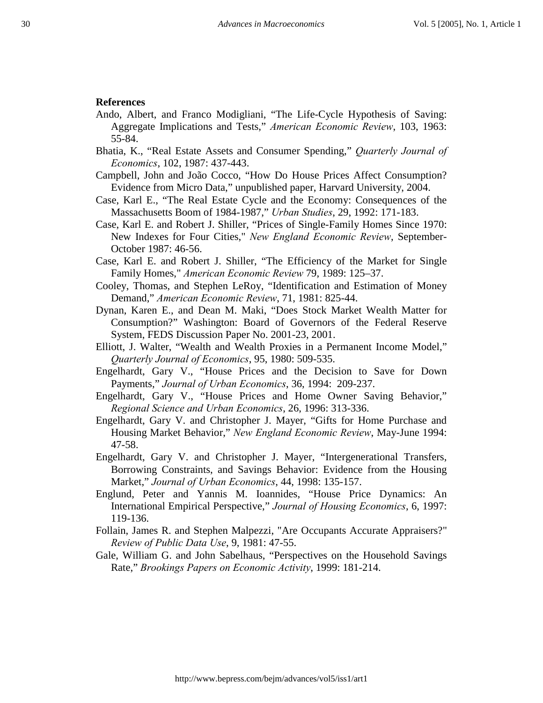#### **References**

- Ando, Albert, and Franco Modigliani, "The Life-Cycle Hypothesis of Saving: Aggregate Implications and Tests," *American Economic Review*, 103, 1963: 55-84.
- Bhatia, K., "Real Estate Assets and Consumer Spending," *Quarterly Journal of Economics*, 102, 1987: 437-443.
- Campbell, John and João Cocco, "How Do House Prices Affect Consumption? Evidence from Micro Data," unpublished paper, Harvard University, 2004.
- Case, Karl E., "The Real Estate Cycle and the Economy: Consequences of the Massachusetts Boom of 1984-1987," *Urban Studies*, 29, 1992: 171-183.
- Case, Karl E. and Robert J. Shiller, "Prices of Single-Family Homes Since 1970: New Indexes for Four Cities," *New England Economic Review*, September-October 1987: 46-56.
- Case, Karl E. and Robert J. Shiller, "The Efficiency of the Market for Single Family Homes," *American Economic Review* 79, 1989: 125–37.
- Cooley, Thomas, and Stephen LeRoy, "Identification and Estimation of Money Demand," *American Economic Review*, 71, 1981: 825-44.
- Dynan, Karen E., and Dean M. Maki, "Does Stock Market Wealth Matter for Consumption?" Washington: Board of Governors of the Federal Reserve System, FEDS Discussion Paper No. 2001-23, 2001.
- Elliott, J. Walter, "Wealth and Wealth Proxies in a Permanent Income Model," *Quarterly Journal of Economics*, 95, 1980: 509-535.
- Engelhardt, Gary V., "House Prices and the Decision to Save for Down Payments," *Journal of Urban Economics*, 36, 1994: 209-237.
- Engelhardt, Gary V., "House Prices and Home Owner Saving Behavior," *Regional Science and Urban Economics*, 26, 1996: 313-336.
- Engelhardt, Gary V. and Christopher J. Mayer, "Gifts for Home Purchase and Housing Market Behavior," *New England Economic Review*, May-June 1994: 47-58.
- Engelhardt, Gary V. and Christopher J. Mayer, "Intergenerational Transfers, Borrowing Constraints, and Savings Behavior: Evidence from the Housing Market," *Journal of Urban Economics*, 44, 1998: 135-157.
- Englund, Peter and Yannis M. Ioannides, "House Price Dynamics: An International Empirical Perspective," *Journal of Housing Economics*, 6, 1997: 119-136.
- Follain, James R. and Stephen Malpezzi, "Are Occupants Accurate Appraisers?" *Review of Public Data Use*, 9, 1981: 47-55.
- Gale, William G. and John Sabelhaus, "Perspectives on the Household Savings Rate," *Brookings Papers on Economic Activity*, 1999: 181-214.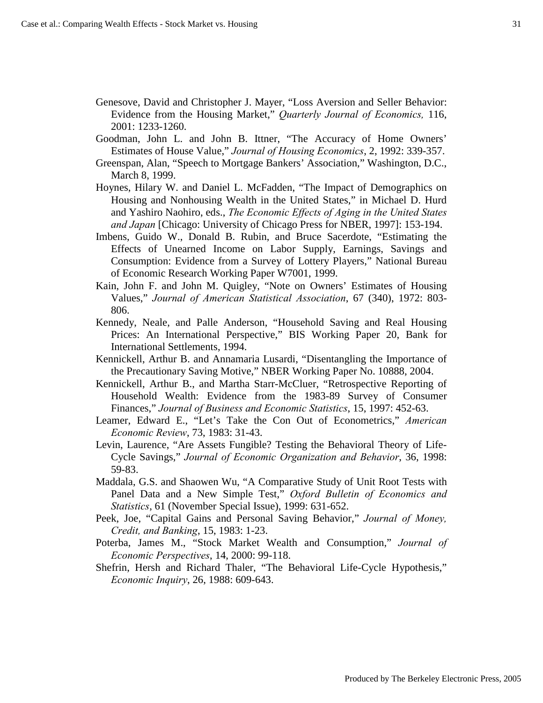- Genesove, David and Christopher J. Mayer, "Loss Aversion and Seller Behavior: Evidence from the Housing Market," *Quarterly Journal of Economics,* 116, 2001: 1233-1260.
- Goodman, John L. and John B. Ittner, "The Accuracy of Home Owners' Estimates of House Value," *Journal of Housing Economics*, 2, 1992: 339-357.
- Greenspan, Alan, "Speech to Mortgage Bankers' Association," Washington, D.C., March 8, 1999.
- Hoynes, Hilary W. and Daniel L. McFadden, "The Impact of Demographics on Housing and Nonhousing Wealth in the United States," in Michael D. Hurd and Yashiro Naohiro, eds., *The Economic Effects of Aging in the United States and Japan* [Chicago: University of Chicago Press for NBER, 1997]: 153-194.
- Imbens, Guido W., Donald B. Rubin, and Bruce Sacerdote, "Estimating the Effects of Unearned Income on Labor Supply, Earnings, Savings and Consumption: Evidence from a Survey of Lottery Players," National Bureau of Economic Research Working Paper W7001, 1999.
- Kain, John F. and John M. Quigley, "Note on Owners' Estimates of Housing Values," *Journal of American Statistical Association*, 67 (340), 1972: 803- 806.
- Kennedy, Neale, and Palle Anderson, "Household Saving and Real Housing Prices: An International Perspective," BIS Working Paper 20, Bank for International Settlements, 1994.
- Kennickell, Arthur B. and Annamaria Lusardi, "Disentangling the Importance of the Precautionary Saving Motive," NBER Working Paper No. 10888, 2004.
- Kennickell, Arthur B., and Martha Starr-McCluer, "Retrospective Reporting of Household Wealth: Evidence from the 1983-89 Survey of Consumer Finances," *Journal of Business and Economic Statistics*, 15, 1997: 452-63.
- Leamer, Edward E., "Let's Take the Con Out of Econometrics," *American Economic Review*, 73, 1983: 31-43.
- Levin, Laurence, "Are Assets Fungible? Testing the Behavioral Theory of Life-Cycle Savings," *Journal of Economic Organization and Behavior*, 36, 1998: 59-83.
- Maddala, G.S. and Shaowen Wu, "A Comparative Study of Unit Root Tests with Panel Data and a New Simple Test," *Oxford Bulletin of Economics and Statistics*, 61 (November Special Issue), 1999: 631-652.
- Peek, Joe, "Capital Gains and Personal Saving Behavior," *Journal of Money, Credit, and Banking*, 15, 1983: 1-23.
- Poterba, James M., "Stock Market Wealth and Consumption," *Journal of Economic Perspectives*, 14, 2000: 99-118.
- Shefrin, Hersh and Richard Thaler, "The Behavioral Life-Cycle Hypothesis," *Economic Inquiry*, 26, 1988: 609-643.